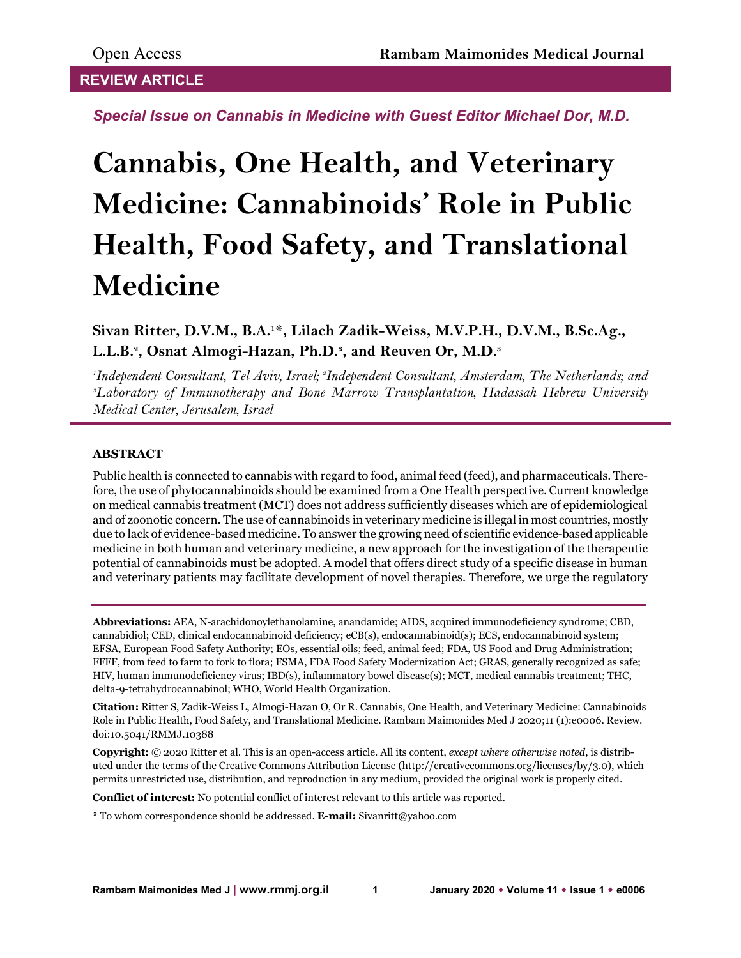## **REVIEW ARTICLE**

*Special Issue on Cannabis in Medicine with Guest Editor Michael Dor, M.D.*

# **Cannabis, One Health, and Veterinary Medicine: Cannabinoids' Role in Public Health, Food Safety, and Translational Medicine**

**Sivan Ritter, D.V.M., B.A.1\*, Lilach Zadik-Weiss, M.V.P.H., D.V.M., B.Sc.Ag., L.L.B.2, Osnat Almogi-Hazan, Ph.D.3, and Reuven Or, M.D.3**

*1 Independent Consultant, Tel Aviv, Israel; 2 Independent Consultant, Amsterdam, The Netherlands; and 3 Laboratory of Immunotherapy and Bone Marrow Transplantation, Hadassah Hebrew University Medical Center, Jerusalem, Israel*

## **ABSTRACT**

Public health is connected to cannabis with regard to food, animal feed (feed), and pharmaceuticals. Therefore, the use of phytocannabinoids should be examined from a One Health perspective. Current knowledge on medical cannabis treatment (MCT) does not address sufficiently diseases which are of epidemiological and of zoonotic concern. The use of cannabinoids in veterinary medicine is illegal in most countries, mostly due to lack of evidence-based medicine. To answer the growing need of scientific evidence-based applicable medicine in both human and veterinary medicine, a new approach for the investigation of the therapeutic potential of cannabinoids must be adopted. A model that offers direct study of a specific disease in human and veterinary patients may facilitate development of novel therapies. Therefore, we urge the regulatory

**Abbreviations:** AEA, N-arachidonoylethanolamine, anandamide; AIDS, acquired immunodeficiency syndrome; CBD, cannabidiol; CED, clinical endocannabinoid deficiency; eCB(s), endocannabinoid(s); ECS, endocannabinoid system; EFSA, European Food Safety Authority; EOs, essential oils; feed, animal feed; FDA, US Food and Drug Administration; FFFF, from feed to farm to fork to flora; FSMA, FDA Food Safety Modernization Act; GRAS, generally recognized as safe; HIV, human immunodeficiency virus; IBD(s), inflammatory bowel disease(s); MCT, medical cannabis treatment; THC, delta-9-tetrahydrocannabinol; WHO, World Health Organization.

**Citation:** Ritter S, Zadik-Weiss L, Almogi-Hazan O, Or R. Cannabis, One Health, and Veterinary Medicine: Cannabinoids Role in Public Health, Food Safety, and Translational Medicine. Rambam Maimonides Med J 2020;11 (1):e0006. Review. doi:10.5041/RMMJ.10388

**Copyright:** © 2020 Ritter et al. This is an open-access article. All its content, *except where otherwise noted*, is distributed under the terms of the Creative Commons Attribution License (http://creativecommons.org/licenses/by/3.0), which permits unrestricted use, distribution, and reproduction in any medium, provided the original work is properly cited.

**Conflict of interest:** No potential conflict of interest relevant to this article was reported.

\* To whom correspondence should be addressed. **E-mail:** Sivanritt@yahoo.com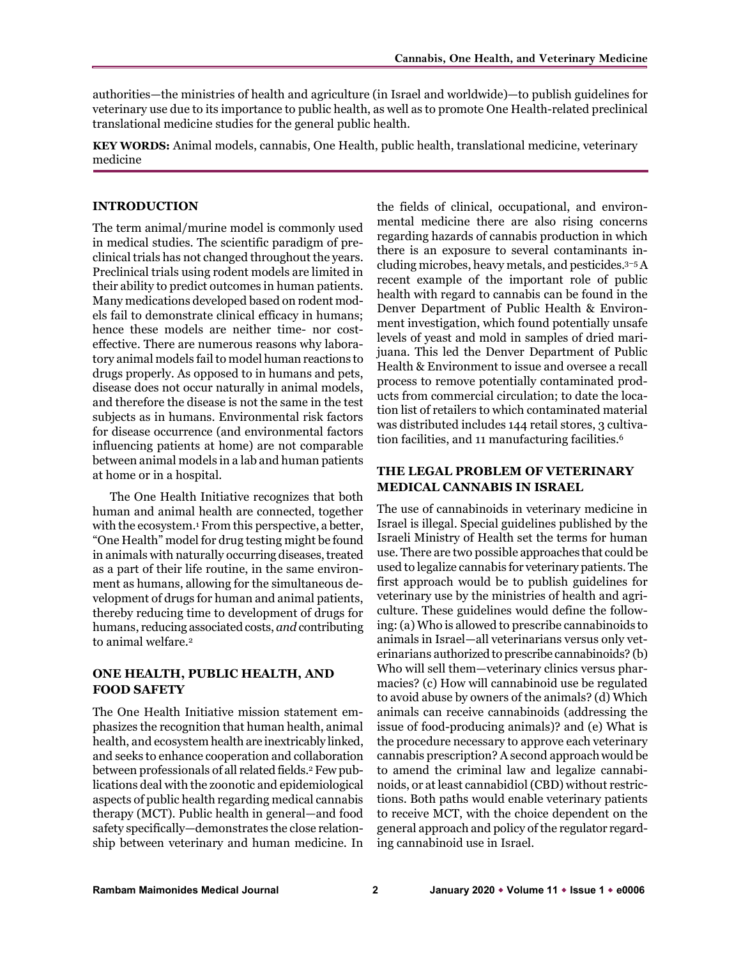authorities—the ministries of health and agriculture (in Israel and worldwide)—to publish guidelines for veterinary use due to its importance to public health, as well as to promote One Health-related preclinical translational medicine studies for the general public health.

**KEY WORDS:** Animal models, cannabis, One Health, public health, translational medicine, veterinary medicine

## **INTRODUCTION**

The term animal/murine model is commonly used in medical studies. The scientific paradigm of preclinical trials has not changed throughout the years. Preclinical trials using rodent models are limited in their ability to predict outcomes in human patients. Many medications developed based on rodent models fail to demonstrate clinical efficacy in humans; hence these models are neither time- nor costeffective. There are numerous reasons why laboratory animal models fail to model human reactions to drugs properly. As opposed to in humans and pets, disease does not occur naturally in animal models, and therefore the disease is not the same in the test subjects as in humans. Environmental risk factors for disease occurrence (and environmental factors influencing patients at home) are not comparable between animal models in a lab and human patients at home or in a hospital.

The One Health Initiative recognizes that both human and animal health are connected, together with the ecosystem.1 From this perspective, a better, "One Health" model for drug testing might be found in animals with naturally occurring diseases, treated as a part of their life routine, in the same environment as humans, allowing for the simultaneous development of drugs for human and animal patients, thereby reducing time to development of drugs for humans, reducing associated costs, *and* contributing to animal welfare.2

## **ONE HEALTH, PUBLIC HEALTH, AND FOOD SAFETY**

The One Health Initiative mission statement emphasizes the recognition that human health, animal health, and ecosystem health are inextricably linked, and seeks to enhance cooperation and collaboration between professionals of all related fields.<sup>2</sup> Few publications deal with the zoonotic and epidemiological aspects of public health regarding medical cannabis therapy (MCT). Public health in general—and food safety specifically—demonstrates the close relationship between veterinary and human medicine. In

the fields of clinical, occupational, and environmental medicine there are also rising concerns regarding hazards of cannabis production in which there is an exposure to several contaminants including microbes, heavy metals, and pesticides.3–5A recent example of the important role of public health with regard to cannabis can be found in the Denver Department of Public Health & Environment investigation, which found potentially unsafe levels of yeast and mold in samples of dried marijuana. This led the Denver Department of Public Health & Environment to issue and oversee a recall process to remove potentially contaminated products from commercial circulation; to date the location list of retailers to which contaminated material was distributed includes 144 retail stores, 3 cultivation facilities, and 11 manufacturing facilities.<sup>6</sup>

## **THE LEGAL PROBLEM OF VETERINARY MEDICAL CANNABIS IN ISRAEL**

The use of cannabinoids in veterinary medicine in Israel is illegal. Special guidelines published by the Israeli Ministry of Health set the terms for human use. There are two possible approaches that could be used to legalize cannabis for veterinary patients. The first approach would be to publish guidelines for veterinary use by the ministries of health and agriculture. These guidelines would define the following: (a) Who is allowed to prescribe cannabinoids to animals in Israel—all veterinarians versus only veterinarians authorized to prescribe cannabinoids? (b) Who will sell them—veterinary clinics versus pharmacies? (c) How will cannabinoid use be regulated to avoid abuse by owners of the animals? (d) Which animals can receive cannabinoids (addressing the issue of food-producing animals)? and (e) What is the procedure necessary to approve each veterinary cannabis prescription? A second approach would be to amend the criminal law and legalize cannabinoids, or at least cannabidiol (CBD) without restrictions. Both paths would enable veterinary patients to receive MCT, with the choice dependent on the general approach and policy of the regulator regarding cannabinoid use in Israel.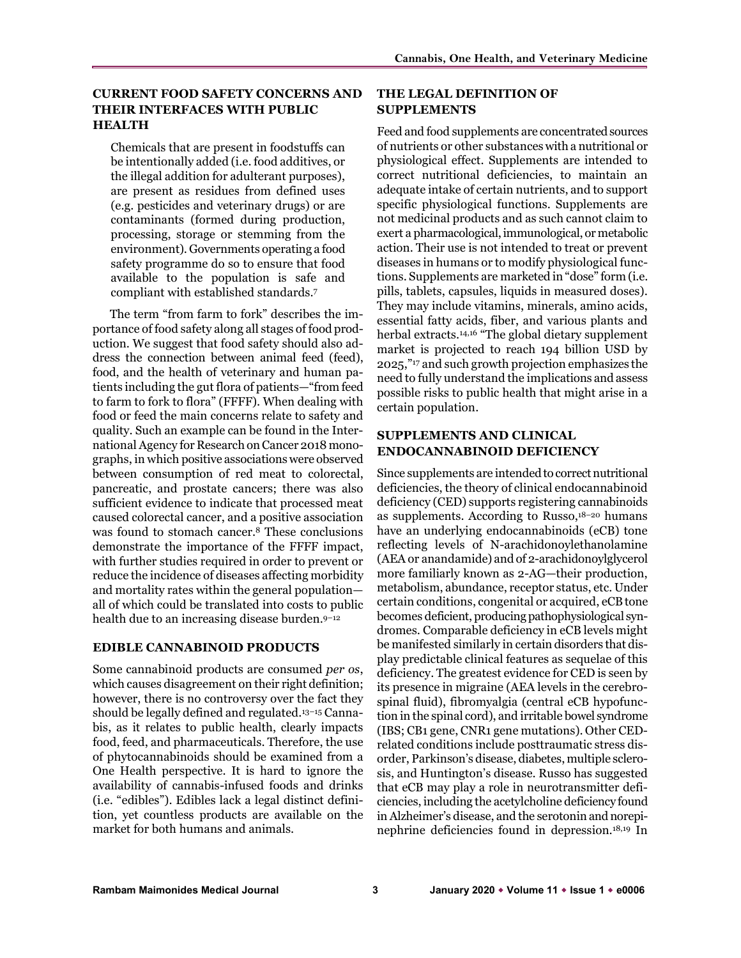## **CURRENT FOOD SAFETY CONCERNS AND THEIR INTERFACES WITH PUBLIC HEALTH**

Chemicals that are present in foodstuffs can be intentionally added (i.e. food additives, or the illegal addition for adulterant purposes), are present as residues from defined uses (e.g. pesticides and veterinary drugs) or are contaminants (formed during production, processing, storage or stemming from the environment). Governments operating a food safety programme do so to ensure that food available to the population is safe and compliant with established standards.7

The term "from farm to fork" describes the importance of food safety along all stages of food production. We suggest that food safety should also address the connection between animal feed (feed), food, and the health of veterinary and human patients including the gut flora of patients—"from feed to farm to fork to flora" (FFFF). When dealing with food or feed the main concerns relate to safety and quality. Such an example can be found in the International Agency for Research on Cancer 2018 monographs, in which positive associations were observed between consumption of red meat to colorectal, pancreatic, and prostate cancers; there was also sufficient evidence to indicate that processed meat caused colorectal cancer, and a positive association was found to stomach cancer.8 These conclusions demonstrate the importance of the FFFF impact, with further studies required in order to prevent or reduce the incidence of diseases affecting morbidity and mortality rates within the general population all of which could be translated into costs to public health due to an increasing disease burden.<sup>9-12</sup>

#### **EDIBLE CANNABINOID PRODUCTS**

Some cannabinoid products are consumed *per os*, which causes disagreement on their right definition; however, there is no controversy over the fact they should be legally defined and regulated.13–15 Cannabis, as it relates to public health, clearly impacts food, feed, and pharmaceuticals. Therefore, the use of phytocannabinoids should be examined from a One Health perspective. It is hard to ignore the availability of cannabis-infused foods and drinks (i.e. "edibles"). Edibles lack a legal distinct definition, yet countless products are available on the market for both humans and animals.

## **THE LEGAL DEFINITION OF SUPPLEMENTS**

Feed and food supplements are concentrated sources of nutrients or other substances with a nutritional or physiological effect. Supplements are intended to correct nutritional deficiencies, to maintain an adequate intake of certain nutrients, and to support specific physiological functions. Supplements are not medicinal products and as such cannot claim to exert a pharmacological, immunological, or metabolic action. Their use is not intended to treat or prevent diseases in humans or to modify physiological functions. Supplements are marketed in "dose" form (i.e. pills, tablets, capsules, liquids in measured doses). They may include vitamins, minerals, amino acids, essential fatty acids, fiber, and various plants and herbal extracts.14,16 "The global dietary supplement market is projected to reach 194 billion USD by 2025,"17 and such growth projection emphasizes the need to fully understand the implications and assess possible risks to public health that might arise in a certain population.

## **SUPPLEMENTS AND CLINICAL ENDOCANNABINOID DEFICIENCY**

Since supplements are intended to correct nutritional deficiencies, the theory of clinical endocannabinoid deficiency (CED) supports registering cannabinoids as supplements. According to Russo,18–20 humans have an underlying endocannabinoids (eCB) tone reflecting levels of N-arachidonoylethanolamine (AEA or anandamide) and of 2-arachidonoylglycerol more familiarly known as 2-AG—their production, metabolism, abundance, receptor status, etc. Under certain conditions, congenital or acquired, eCB tone becomes deficient, producing pathophysiological syndromes. Comparable deficiency in eCB levels might be manifested similarly in certain disorders that display predictable clinical features as sequelae of this deficiency. The greatest evidence for CED is seen by its presence in migraine (AEA levels in the cerebrospinal fluid), fibromyalgia (central eCB hypofunction in the spinal cord), and irritable bowel syndrome (IBS; CB1 gene, CNR1 gene mutations). Other CEDrelated conditions include posttraumatic stress disorder, Parkinson's disease, diabetes, multiple sclerosis, and Huntington's disease. Russo has suggested that eCB may play a role in neurotransmitter deficiencies, including the acetylcholine deficiency found in Alzheimer's disease, and the serotonin and norepinephrine deficiencies found in depression.18,19 In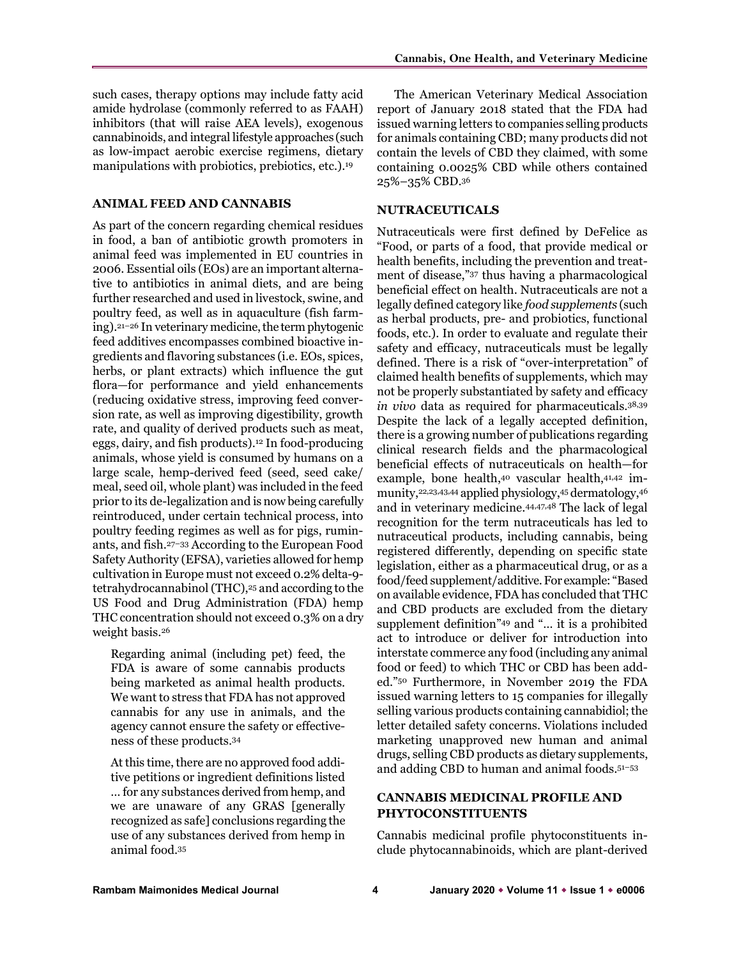such cases, therapy options may include fatty acid amide hydrolase (commonly referred to as FAAH) inhibitors (that will raise AEA levels), exogenous cannabinoids, and integral lifestyle approaches (such as low-impact aerobic exercise regimens, dietary manipulations with probiotics, prebiotics, etc.).19

#### **ANIMAL FEED AND CANNABIS**

As part of the concern regarding chemical residues in food, a ban of antibiotic growth promoters in animal feed was implemented in EU countries in 2006. Essential oils (EOs) are an important alternative to antibiotics in animal diets, and are being further researched and used in livestock, swine, and poultry feed, as well as in aquaculture (fish farming).21–26 In veterinary medicine, the term phytogenic feed additives encompasses combined bioactive ingredients and flavoring substances (i.e. EOs, spices, herbs, or plant extracts) which influence the gut flora—for performance and yield enhancements (reducing oxidative stress, improving feed conversion rate, as well as improving digestibility, growth rate, and quality of derived products such as meat, eggs, dairy, and fish products).12 In food-producing animals, whose yield is consumed by humans on a large scale, hemp-derived feed (seed, seed cake/ meal, seed oil, whole plant) was included in the feed prior to its de-legalization and is now being carefully reintroduced, under certain technical process, into poultry feeding regimes as well as for pigs, ruminants, and fish.27–33 According to the European Food Safety Authority (EFSA), varieties allowed for hemp cultivation in Europe must not exceed 0.2% delta-9 tetrahydrocannabinol (THC),<sup>25</sup> and according to the US Food and Drug Administration (FDA) hemp THC concentration should not exceed 0.3% on a dry weight basis.26

Regarding animal (including pet) feed, the FDA is aware of some cannabis products being marketed as animal health products. We want to stress that FDA has not approved cannabis for any use in animals, and the agency cannot ensure the safety or effectiveness of these products.34

At this time, there are no approved food additive petitions or ingredient definitions listed … for any substances derived from hemp, and we are unaware of any GRAS [generally recognized as safe] conclusions regarding the use of any substances derived from hemp in animal food.35

The American Veterinary Medical Association report of January 2018 stated that the FDA had issued warning letters to companies selling products for animals containing CBD; many products did not contain the levels of CBD they claimed, with some containing 0.0025% CBD while others contained 25%–35% CBD.36

#### **NUTRACEUTICALS**

Nutraceuticals were first defined by DeFelice as "Food, or parts of a food, that provide medical or health benefits, including the prevention and treatment of disease,"37 thus having a pharmacological beneficial effect on health. Nutraceuticals are not a legally defined category like *food supplements* (such as herbal products, pre- and probiotics, functional foods, etc.). In order to evaluate and regulate their safety and efficacy, nutraceuticals must be legally defined. There is a risk of "over-interpretation" of claimed health benefits of supplements, which may not be properly substantiated by safety and efficacy *in vivo* data as required for pharmaceuticals.38,39 Despite the lack of a legally accepted definition, there is a growing number of publications regarding clinical research fields and the pharmacological beneficial effects of nutraceuticals on health—for example, bone health,40 vascular health,41,42 immunity,22,23,43,44 applied physiology,45 dermatology,46 and in veterinary medicine.44,47,48 The lack of legal recognition for the term nutraceuticals has led to nutraceutical products, including cannabis, being registered differently, depending on specific state legislation, either as a pharmaceutical drug, or as a food/feed supplement/additive. For example: "Based on available evidence, FDA has concluded that THC and CBD products are excluded from the dietary supplement definition"49 and "… it is a prohibited act to introduce or deliver for introduction into interstate commerce any food (including any animal food or feed) to which THC or CBD has been added."50 Furthermore, in November 2019 the FDA issued warning letters to 15 companies for illegally selling various products containing cannabidiol; the letter detailed safety concerns. Violations included marketing unapproved new human and animal drugs, selling CBD products as dietary supplements, and adding CBD to human and animal foods.51–53

## **CANNABIS MEDICINAL PROFILE AND PHYTOCONSTITUENTS**

Cannabis medicinal profile phytoconstituents include phytocannabinoids, which are plant-derived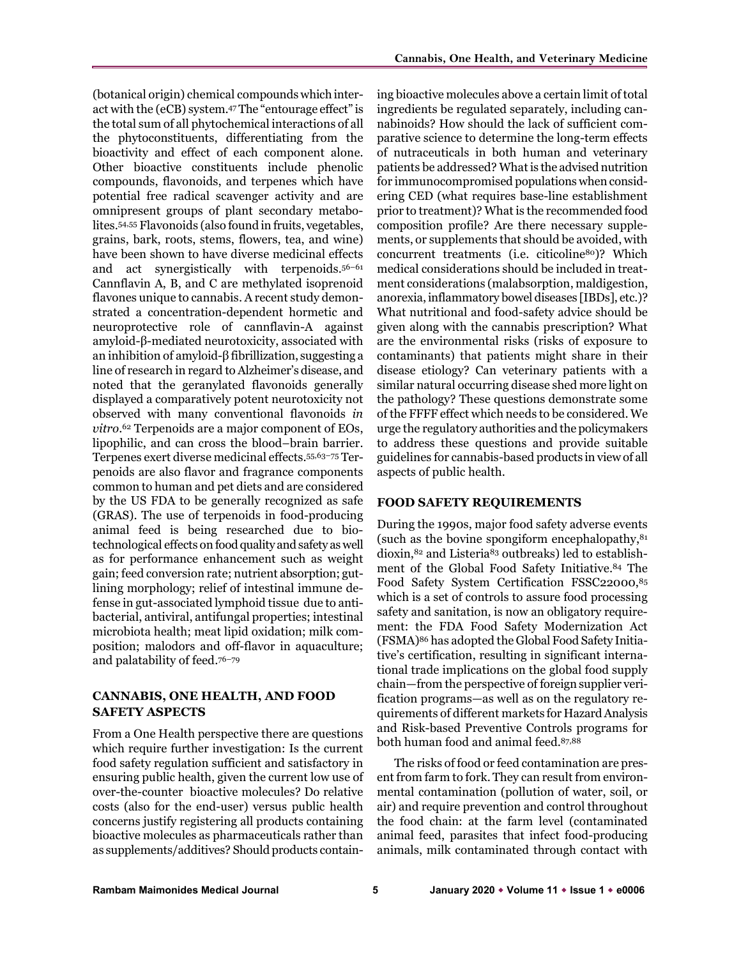(botanical origin) chemical compounds which interact with the (eCB) system.47 The "entourage effect" is the total sum of all phytochemical interactions of all the phytoconstituents, differentiating from the bioactivity and effect of each component alone. Other bioactive constituents include phenolic compounds, flavonoids, and terpenes which have potential free radical scavenger activity and are omnipresent groups of plant secondary metabolites.54,55 Flavonoids (also found in fruits, vegetables, grains, bark, roots, stems, flowers, tea, and wine) have been shown to have diverse medicinal effects and act synergistically with terpenoids.56–61 Cannflavin A, B, and C are methylated isoprenoid flavones unique to cannabis. A recent study demonstrated a concentration-dependent hormetic and neuroprotective role of cannflavin-A against amyloid-β-mediated neurotoxicity, associated with an inhibition of amyloid-β fibrillization, suggesting a line of research in regard to Alzheimer's disease, and noted that the geranylated flavonoids generally displayed a comparatively potent neurotoxicity not observed with many conventional flavonoids *in vitro*.62 Terpenoids are a major component of EOs, lipophilic, and can cross the blood–brain barrier. Terpenes exert diverse medicinal effects.55,63–75 Terpenoids are also flavor and fragrance components common to human and pet diets and are considered by the US FDA to be generally recognized as safe (GRAS). The use of terpenoids in food-producing animal feed is being researched due to biotechnological effects on food quality and safety as well as for performance enhancement such as weight gain; feed conversion rate; nutrient absorption; gutlining morphology; relief of intestinal immune defense in gut-associated lymphoid tissue due to antibacterial, antiviral, antifungal properties; intestinal microbiota health; meat lipid oxidation; milk composition; malodors and off-flavor in aquaculture; and palatability of feed.76–79

## **CANNABIS, ONE HEALTH, AND FOOD SAFETY ASPECTS**

From a One Health perspective there are questions which require further investigation: Is the current food safety regulation sufficient and satisfactory in ensuring public health, given the current low use of over-the-counter bioactive molecules? Do relative costs (also for the end-user) versus public health concerns justify registering all products containing bioactive molecules as pharmaceuticals rather than as supplements/additives? Should products containing bioactive molecules above a certain limit of total ingredients be regulated separately, including cannabinoids? How should the lack of sufficient comparative science to determine the long-term effects of nutraceuticals in both human and veterinary patients be addressed? What is the advised nutrition for immunocompromised populations when considering CED (what requires base-line establishment prior to treatment)? What is the recommended food composition profile? Are there necessary supplements, or supplements that should be avoided, with concurrent treatments (i.e. citicoline<sup>80</sup>)? Which medical considerations should be included in treatment considerations (malabsorption, maldigestion, anorexia, inflammatory bowel diseases [IBDs], etc.)? What nutritional and food-safety advice should be given along with the cannabis prescription? What are the environmental risks (risks of exposure to contaminants) that patients might share in their disease etiology? Can veterinary patients with a similar natural occurring disease shed more light on the pathology? These questions demonstrate some of the FFFF effect which needs to be considered. We urge the regulatory authorities and the policymakers to address these questions and provide suitable guidelines for cannabis-based products in view of all aspects of public health.

#### **FOOD SAFETY REQUIREMENTS**

During the 1990s, major food safety adverse events (such as the bovine spongiform encephalopathy, $81$ ) dioxin,82 and Listeria83 outbreaks) led to establishment of the Global Food Safety Initiative.84 The Food Safety System Certification FSSC22000,85 which is a set of controls to assure food processing safety and sanitation, is now an obligatory requirement: the FDA Food Safety Modernization Act (FSMA)86 has adopted the Global Food Safety Initiative's certification, resulting in significant international trade implications on the global food supply chain—from the perspective of foreign supplier verification programs—as well as on the regulatory requirements of different markets for Hazard Analysis and Risk-based Preventive Controls programs for both human food and animal feed.87,88

The risks of food or feed contamination are present from farm to fork. They can result from environmental contamination (pollution of water, soil, or air) and require prevention and control throughout the food chain: at the farm level (contaminated animal feed, parasites that infect food-producing animals, milk contaminated through contact with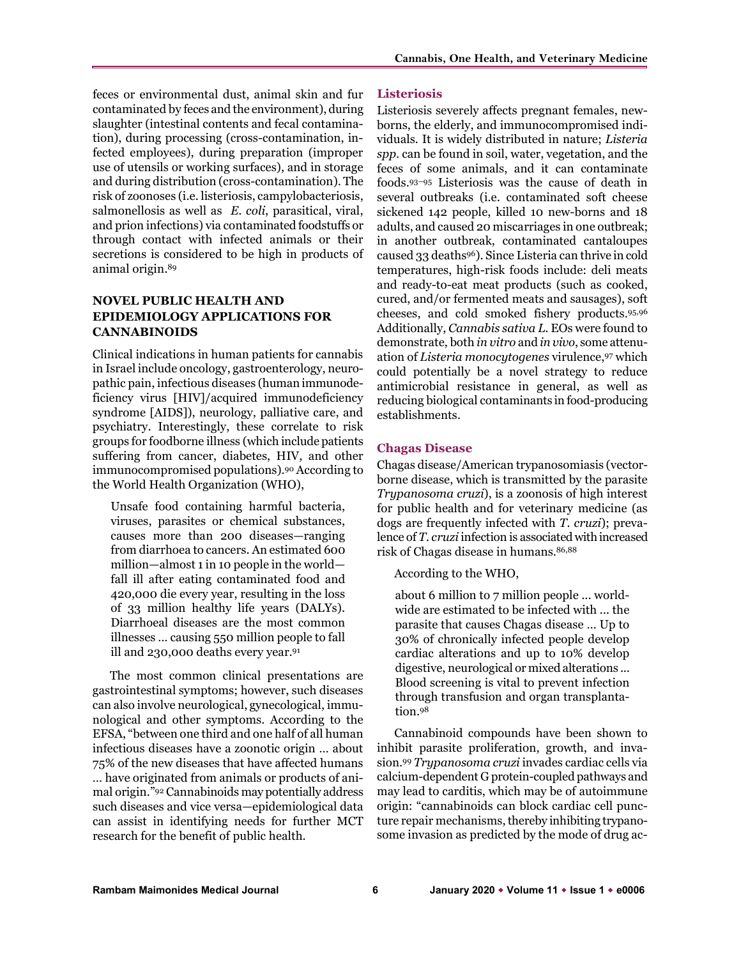feces or environmental dust, animal skin and fur contaminated by feces and the environment), during slaughter (intestinal contents and fecal contamination), during processing (cross-contamination, infected employees), during preparation (improper use of utensils or working surfaces), and in storage and during distribution (cross-contamination). The risk of zoonoses (i.e. listeriosis, campylobacteriosis, salmonellosis as well as *E. coli*, parasitical, viral, and prion infections) via contaminated foodstuffs or through contact with infected animals or their secretions is considered to be high in products of animal origin.89

## **NOVEL PUBLIC HEALTH AND EPIDEMIOLOGY APPLICATIONS FOR CANNABINOIDS**

Clinical indications in human patients for cannabis in Israel include oncology, gastroenterology, neuropathic pain, infectious diseases (human immunodeficiency virus [HIV]/acquired immunodeficiency syndrome [AIDS]), neurology, palliative care, and psychiatry. Interestingly, these correlate to risk groups for foodborne illness (which include patients suffering from cancer, diabetes, HIV, and other immunocompromised populations).90 According to the World Health Organization (WHO),

Unsafe food containing harmful bacteria, viruses, parasites or chemical substances, causes more than 200 diseases—ranging from diarrhoea to cancers. An estimated 600 million—almost 1 in 10 people in the world fall ill after eating contaminated food and 420,000 die every year, resulting in the loss of 33 million healthy life years (DALYs). Diarrhoeal diseases are the most common illnesses … causing 550 million people to fall ill and 230,000 deaths every year.91

The most common clinical presentations are gastrointestinal symptoms; however, such diseases can also involve neurological, gynecological, immunological and other symptoms. According to the EFSA, "between one third and one half of all human infectious diseases have a zoonotic origin … about 75% of the new diseases that have affected humans … have originated from animals or products of animal origin."92 Cannabinoids may potentially address such diseases and vice versa—epidemiological data can assist in identifying needs for further MCT research for the benefit of public health.

## **Listeriosis**

Listeriosis severely affects pregnant females, newborns, the elderly, and immunocompromised individuals. It is widely distributed in nature; *Listeria spp*. can be found in soil, water, vegetation, and the feces of some animals, and it can contaminate foods.93–95 Listeriosis was the cause of death in several outbreaks (i.e. contaminated soft cheese sickened 142 people, killed 10 new-borns and 18 adults, and caused 20 miscarriages in one outbreak; in another outbreak, contaminated cantaloupes caused 33 deaths96). Since Listeria can thrive in cold temperatures, high-risk foods include: deli meats and ready-to-eat meat products (such as cooked, cured, and/or fermented meats and sausages), soft cheeses, and cold smoked fishery products.95,96 Additionally, *Cannabis sativa L.* EOs were found to demonstrate, both *in vitro* and *in vivo*, some attenuation of *Listeria monocytogenes* virulence,97 which could potentially be a novel strategy to reduce antimicrobial resistance in general, as well as reducing biological contaminants in food-producing establishments.

## **Chagas Disease**

Chagas disease/American trypanosomiasis (vectorborne disease, which is transmitted by the parasite *Trypanosoma cruzi*), is a zoonosis of high interest for public health and for veterinary medicine (as dogs are frequently infected with *T. cruzi*); prevalence of *T. cruzi* infection is associated with increased risk of Chagas disease in humans.86,88

According to the WHO,

about 6 million to 7 million people ... worldwide are estimated to be infected with *...* the parasite that causes Chagas disease … Up to 30% of chronically infected people develop cardiac alterations and up to 10% develop digestive, neurological or mixed alterations ... Blood screening is vital to prevent infection through transfusion and organ transplantation.98

Cannabinoid compounds have been shown to inhibit parasite proliferation, growth, and invasion.99 *Trypanosoma cruzi* invades cardiac cells via calcium-dependent G protein-coupled pathways and may lead to carditis, which may be of autoimmune origin: "cannabinoids can block cardiac cell puncture repair mechanisms, thereby inhibiting trypanosome invasion as predicted by the mode of drug ac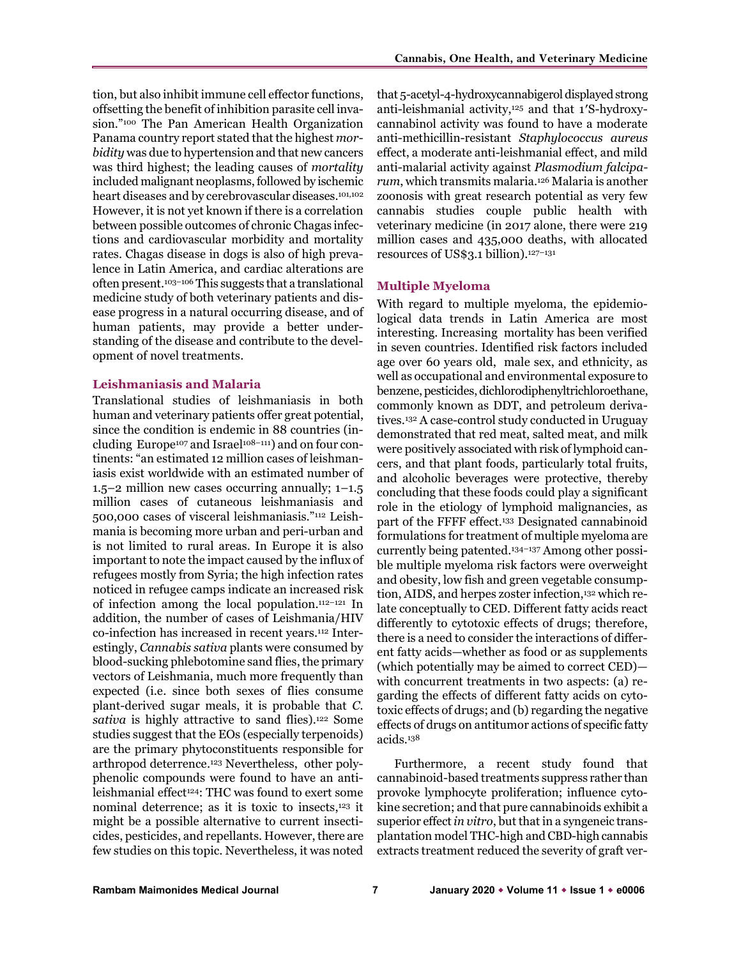tion, but also inhibit immune cell effector functions, offsetting the benefit of inhibition parasite cell invasion."100 The Pan American Health Organization Panama country report stated that the highest *morbidity* was due to hypertension and that new cancers was third highest; the leading causes of *mortality* included malignant neoplasms, followed by ischemic heart diseases and by cerebrovascular diseases.101,102 However, it is not yet known if there is a correlation between possible outcomes of chronic Chagas infections and cardiovascular morbidity and mortality rates. Chagas disease in dogs is also of high prevalence in Latin America, and cardiac alterations are often present.103–106 This suggests that a translational medicine study of both veterinary patients and disease progress in a natural occurring disease, and of human patients, may provide a better understanding of the disease and contribute to the development of novel treatments.

#### **Leishmaniasis and Malaria**

Translational studies of leishmaniasis in both human and veterinary patients offer great potential, since the condition is endemic in 88 countries (including Europe<sup>107</sup> and Israel<sup>108–111</sup>) and on four continents: "an estimated 12 million cases of leishmaniasis exist worldwide with an estimated number of 1.5–2 million new cases occurring annually; 1–1.5 million cases of cutaneous leishmaniasis and 500,000 cases of visceral leishmaniasis."112 Leishmania is becoming more urban and peri-urban and is not limited to rural areas. In Europe it is also important to note the impact caused by the influx of refugees mostly from Syria; the high infection rates noticed in refugee camps indicate an increased risk of infection among the local population.112–121 In addition, the number of cases of Leishmania/HIV co-infection has increased in recent years.112 Interestingly, *Cannabis sativa* plants were consumed by blood-sucking phlebotomine sand flies, the primary vectors of Leishmania, much more frequently than expected (i.e. since both sexes of flies consume plant-derived sugar meals, it is probable that *C.*  sativa is highly attractive to sand flies).<sup>122</sup> Some studies suggest that the EOs (especially terpenoids) are the primary phytoconstituents responsible for arthropod deterrence.123 Nevertheless, other polyphenolic compounds were found to have an antileishmanial effect<sup>124</sup>: THC was found to exert some nominal deterrence; as it is toxic to insects,123 it might be a possible alternative to current insecticides, pesticides, and repellants. However, there are few studies on this topic. Nevertheless, it was noted

that 5-acetyl-4-hydroxycannabigerol displayed strong anti-leishmanial activity,125 and that 1′S-hydroxycannabinol activity was found to have a moderate anti-methicillin-resistant *Staphylococcus aureus* effect, a moderate anti-leishmanial effect, and mild anti-malarial activity against *Plasmodium falciparum*, which transmits malaria.126 Malaria is another zoonosis with great research potential as very few cannabis studies couple public health with veterinary medicine (in 2017 alone, there were 219 million cases and 435,000 deaths, with allocated resources of US\$3.1 billion).127–131

#### **Multiple Myeloma**

With regard to multiple myeloma, the epidemiological data trends in Latin America are most interesting. Increasing mortality has been verified in seven countries. Identified risk factors included age over 60 years old, male sex, and ethnicity, as well as occupational and environmental exposure to benzene, pesticides, dichlorodiphenyltrichloroethane, commonly known as DDT, and petroleum derivatives.132 A case-control study conducted in Uruguay demonstrated that red meat, salted meat, and milk were positively associated with risk of lymphoid cancers, and that plant foods, particularly total fruits, and alcoholic beverages were protective, thereby concluding that these foods could play a significant role in the etiology of lymphoid malignancies, as part of the FFFF effect.133 Designated cannabinoid formulations for treatment of multiple myeloma are currently being patented.134–137 Among other possible multiple myeloma risk factors were overweight and obesity, low fish and green vegetable consumption, AIDS, and herpes zoster infection,<sup>132</sup> which relate conceptually to CED. Different fatty acids react differently to cytotoxic effects of drugs; therefore, there is a need to consider the interactions of different fatty acids—whether as food or as supplements (which potentially may be aimed to correct CED) with concurrent treatments in two aspects: (a) regarding the effects of different fatty acids on cytotoxic effects of drugs; and (b) regarding the negative effects of drugs on antitumor actions of specific fatty acids.138

Furthermore, a recent study found that cannabinoid-based treatments suppress rather than provoke lymphocyte proliferation; influence cytokine secretion; and that pure cannabinoids exhibit a superior effect *in vitro*, but that in a syngeneic transplantation model THC-high and CBD-high cannabis extracts treatment reduced the severity of graft ver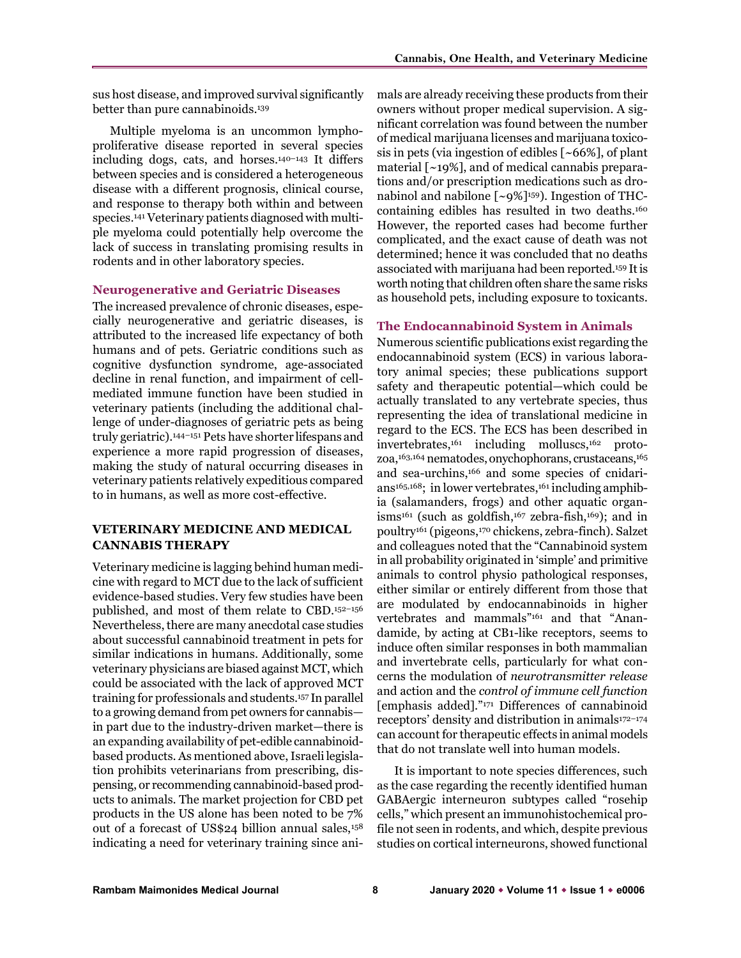sus host disease, and improved survival significantly better than pure cannabinoids.139

Multiple myeloma is an uncommon lymphoproliferative disease reported in several species including dogs, cats, and horses.140–143 It differs between species and is considered a heterogeneous disease with a different prognosis, clinical course, and response to therapy both within and between species.141 Veterinary patients diagnosed with multiple myeloma could potentially help overcome the lack of success in translating promising results in rodents and in other laboratory species.

#### **Neurogenerative and Geriatric Diseases**

The increased prevalence of chronic diseases, especially neurogenerative and geriatric diseases, is attributed to the increased life expectancy of both humans and of pets. Geriatric conditions such as cognitive dysfunction syndrome, age-associated decline in renal function, and impairment of cellmediated immune function have been studied in veterinary patients (including the additional challenge of under-diagnoses of geriatric pets as being truly geriatric).144–151 Pets have shorter lifespans and experience a more rapid progression of diseases, making the study of natural occurring diseases in veterinary patients relatively expeditious compared to in humans, as well as more cost-effective.

#### **VETERINARY MEDICINE AND MEDICAL CANNABIS THERAPY**

Veterinary medicine is lagging behind human medicine with regard to MCT due to the lack of sufficient evidence-based studies. Very few studies have been published, and most of them relate to CBD.152–156 Nevertheless, there are many anecdotal case studies about successful cannabinoid treatment in pets for similar indications in humans. Additionally, some veterinary physicians are biased against MCT, which could be associated with the lack of approved MCT training for professionals and students.157 In parallel to a growing demand from pet owners for cannabis in part due to the industry-driven market—there is an expanding availability of pet-edible cannabinoidbased products. As mentioned above, Israeli legislation prohibits veterinarians from prescribing, dispensing, or recommending cannabinoid-based products to animals. The market projection for CBD pet products in the US alone has been noted to be 7% out of a forecast of US\$24 billion annual sales,158 indicating a need for veterinary training since animals are already receiving these products from their owners without proper medical supervision. A significant correlation was found between the number of medical marijuana licenses and marijuana toxicosis in pets (via ingestion of edibles [~66%], of plant material [~19%], and of medical cannabis preparations and/or prescription medications such as dronabinol and nabilone  $\lceil \sim 9\% \rceil^{159}$ . Ingestion of THCcontaining edibles has resulted in two deaths.160 However, the reported cases had become further complicated, and the exact cause of death was not determined; hence it was concluded that no deaths associated with marijuana had been reported.159 It is worth noting that children often share the same risks as household pets, including exposure to toxicants.

#### **The Endocannabinoid System in Animals**

Numerous scientific publications exist regarding the endocannabinoid system (ECS) in various laboratory animal species; these publications support safety and therapeutic potential—which could be actually translated to any vertebrate species, thus representing the idea of translational medicine in regard to the ECS. The ECS has been described in invertebrates,161 including molluscs,162 protozoa,163,164 nematodes, onychophorans, crustaceans, 165 and sea-urchins,166 and some species of cnidarians<sup>165,168</sup>; in lower vertebrates,<sup>161</sup> including amphibia (salamanders, frogs) and other aquatic organ $i$ sms<sup>161</sup> (such as goldfish,<sup>167</sup> zebra-fish,<sup>169</sup>); and in poultry161 (pigeons,170 chickens, zebra-finch). Salzet and colleagues noted that the "Cannabinoid system in all probability originated in 'simple' and primitive animals to control physio pathological responses, either similar or entirely different from those that are modulated by endocannabinoids in higher vertebrates and mammals"161 and that "Anandamide, by acting at CB1-like receptors, seems to induce often similar responses in both mammalian and invertebrate cells, particularly for what concerns the modulation of *neurotransmitter release* and action and the *control of immune cell function*  [emphasis added]."171 Differences of cannabinoid receptors' density and distribution in animals<sup>172-174</sup> can account for therapeutic effects in animal models that do not translate well into human models.

It is important to note species differences, such as the case regarding the recently identified human GABAergic interneuron subtypes called "rosehip cells," which present an immunohistochemical profile not seen in rodents, and which, despite previous studies on cortical interneurons, showed functional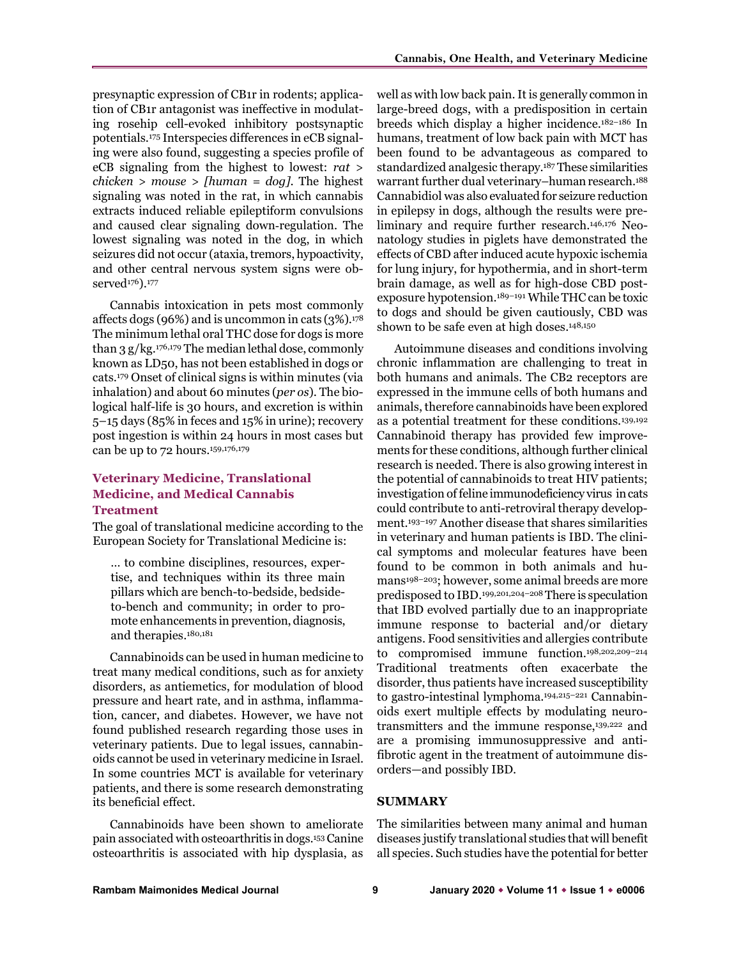presynaptic expression of CB1r in rodents; application of CB1r antagonist was ineffective in modulating rosehip cell-evoked inhibitory postsynaptic potentials.175 Interspecies differences in eCB signaling were also found, suggesting a species profile of eCB signaling from the highest to lowest: *rat > chicken > mouse > [human = dog]*. The highest signaling was noted in the rat, in which cannabis extracts induced reliable epileptiform convulsions and caused clear signaling down‐regulation. The lowest signaling was noted in the dog, in which seizures did not occur (ataxia, tremors, hypoactivity, and other central nervous system signs were observed<sup>176</sup>).<sup>177</sup>

Cannabis intoxication in pets most commonly affects dogs (96%) and is uncommon in cats  $(3\%)$ .<sup>178</sup> The minimum lethal oral THC dose for dogs is more than 3 g/kg.176,179 The median lethal dose, commonly known as LD50, has not been established in dogs or cats.179 Onset of clinical signs is within minutes (via inhalation) and about 60 minutes (*per os*). The biological half-life is 30 hours, and excretion is within 5–15 days (85% in feces and 15% in urine); recovery post ingestion is within 24 hours in most cases but can be up to 72 hours.159,176,179

## **Veterinary Medicine, Translational Medicine, and Medical Cannabis Treatment**

The goal of translational medicine according to the European Society for Translational Medicine is:

… to combine disciplines, resources, expertise, and techniques within its three main pillars which are bench-to-bedside, bedsideto-bench and community; in order to promote enhancements in prevention, diagnosis, and therapies.180,181

Cannabinoids can be used in human medicine to treat many medical conditions, such as for anxiety disorders, as antiemetics, for modulation of blood pressure and heart rate, and in asthma, inflammation, cancer, and diabetes. However, we have not found published research regarding those uses in veterinary patients. Due to legal issues, cannabinoids cannot be used in veterinary medicine in Israel. In some countries MCT is available for veterinary patients, and there is some research demonstrating its beneficial effect.

Cannabinoids have been shown to ameliorate pain associated with osteoarthritis in dogs.153Canine osteoarthritis is associated with hip dysplasia, as

well as with low back pain. It is generally common in large-breed dogs, with a predisposition in certain breeds which display a higher incidence.182–186 In humans, treatment of low back pain with MCT has been found to be advantageous as compared to standardized analgesic therapy.187 These similarities warrant further dual veterinary–human research.188 Cannabidiol was also evaluated for seizure reduction in epilepsy in dogs, although the results were preliminary and require further research.146,176 Neonatology studies in piglets have demonstrated the effects of CBD after induced acute hypoxic ischemia for lung injury, for hypothermia, and in short-term brain damage, as well as for high-dose CBD postexposure hypotension.189–191 While THC can be toxic to dogs and should be given cautiously, CBD was shown to be safe even at high doses.<sup>148,150</sup>

Autoimmune diseases and conditions involving chronic inflammation are challenging to treat in both humans and animals. The CB2 receptors are expressed in the immune cells of both humans and animals, therefore cannabinoids have been explored as a potential treatment for these conditions.139,192 Cannabinoid therapy has provided few improvements for these conditions, although further clinical research is needed. There is also growing interest in the potential of cannabinoids to treat HIV patients; investigation of feline immunodeficiency virus in cats could contribute to anti-retroviral therapy development.193–197 Another disease that shares similarities in veterinary and human patients is IBD. The clinical symptoms and molecular features have been found to be common in both animals and humans<sup>198–203</sup>; however, some animal breeds are more predisposed to IBD.199,201,204–208There is speculation that IBD evolved partially due to an inappropriate immune response to bacterial and/or dietary antigens. Food sensitivities and allergies contribute to compromised immune function.198,202,209–214 Traditional treatments often exacerbate the disorder, thus patients have increased susceptibility to gastro-intestinal lymphoma.194,215–221 Cannabinoids exert multiple effects by modulating neurotransmitters and the immune response,<sup>139,222</sup> and are a promising immunosuppressive and antifibrotic agent in the treatment of autoimmune disorders—and possibly IBD.

#### **SUMMARY**

The similarities between many animal and human diseases justify translational studies that will benefit all species. Such studies have the potential for better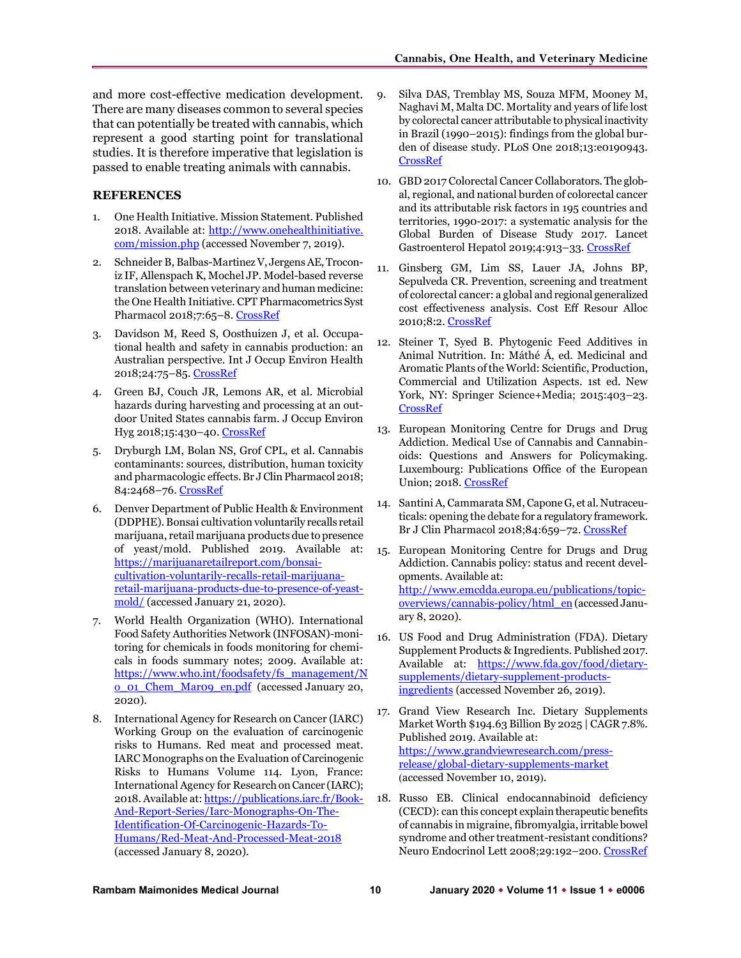and more cost-effective medication development. There are many diseases common to several species that can potentially be treated with cannabis, which represent a good starting point for translational studies. It is therefore imperative that legislation is passed to enable treating animals with cannabis.

#### **REFERENCES**

- 1. One Health Initiative. Mission Statement. Published 2018. Available at: [http://www.onehealthinitiative.](http://www.onehealthinitiative.com/mission.php) [com/mission.php](http://www.onehealthinitiative.com/mission.php) (accessed November 7, 2019).
- 2. Schneider B, Balbas-Martinez V, Jergens AE, Troconiz IF, Allenspach K, Mochel JP. Model-based reverse translation between veterinary and human medicine: the One Health Initiative. CPT Pharmacometrics Syst Pharmacol 2018;7:65–8. [CrossRef](https://doi.org/10.1002/psp4.12262)
- 3. Davidson M, Reed S, Oosthuizen J, et al. Occupational health and safety in cannabis production: an Australian perspective. Int J Occup Environ Health 2018;24:75–85. [CrossRef](https://doi.org/10.1080/10773525.2018.1517234)
- 4. Green BJ, Couch JR, Lemons AR, et al. Microbial hazards during harvesting and processing at an outdoor United States cannabis farm. J Occup Environ Hyg 2018;15:430–40[. CrossRef](https://doi.org/10.1080/15459624.2018.1432863)
- 5. Dryburgh LM, Bolan NS, Grof CPL, et al. Cannabis contaminants: sources, distribution, human toxicity and pharmacologic effects. Br J Clin Pharmacol 2018; 84:2468–76[. CrossRef](https://doi.org/10.1111/bcp.13695)
- 6. Denver Department of Public Health & Environment (DDPHE). Bonsai cultivation voluntarily recalls retail marijuana, retail marijuana products due to presence of yeast/mold. Published 2019. Available at: [https://marijuanaretailreport.com/bonsai](https://marijuanaretailreport.com/bonsai-cultivation-voluntarily-recalls-retail-marijuana-retail-marijuana-products-due-to-presence-of-yeast-mold/)[cultivation-voluntarily-recalls-retail-marijuana](https://marijuanaretailreport.com/bonsai-cultivation-voluntarily-recalls-retail-marijuana-retail-marijuana-products-due-to-presence-of-yeast-mold/)[retail-marijuana-products-due-to-presence-of-yeast](https://marijuanaretailreport.com/bonsai-cultivation-voluntarily-recalls-retail-marijuana-retail-marijuana-products-due-to-presence-of-yeast-mold/)[mold/](https://marijuanaretailreport.com/bonsai-cultivation-voluntarily-recalls-retail-marijuana-retail-marijuana-products-due-to-presence-of-yeast-mold/) (accessed January 21, 2020).
- 7. World Health Organization (WHO). International Food Safety Authorities Network (INFOSAN)-monitoring for chemicals in foods monitoring for chemicals in foods summary notes; 2009. Available at: [https://www.who.int/foodsafety/fs\\_management/N](https://www.who.int/foodsafety/fs_management/No_01_Chem_Mar09_en.pdf) [o\\_01\\_Chem\\_Mar09\\_en.pdf](https://www.who.int/foodsafety/fs_management/No_01_Chem_Mar09_en.pdf) (accessed January 20, 2020).
- 8. International Agency for Research on Cancer (IARC) Working Group on the evaluation of carcinogenic risks to Humans. Red meat and processed meat. IARC Monographs on the Evaluation of Carcinogenic Risks to Humans Volume 114. Lyon, France: International Agency for Research on Cancer (IARC); 2018. Available at[: https://publications.iarc.fr/Book-](https://publications.iarc.fr/Book-And-Report-Series/Iarc-Monographs-On-The-Identification-Of-Carcinogenic-Hazards-To-Humans/Red-Meat-And-Processed-Meat-2018)[And-Report-Series/Iarc-Monographs-On-The-](https://publications.iarc.fr/Book-And-Report-Series/Iarc-Monographs-On-The-Identification-Of-Carcinogenic-Hazards-To-Humans/Red-Meat-And-Processed-Meat-2018)[Identification-Of-Carcinogenic-Hazards-To-](https://publications.iarc.fr/Book-And-Report-Series/Iarc-Monographs-On-The-Identification-Of-Carcinogenic-Hazards-To-Humans/Red-Meat-And-Processed-Meat-2018)[Humans/Red-Meat-And-Processed-Meat-2018](https://publications.iarc.fr/Book-And-Report-Series/Iarc-Monographs-On-The-Identification-Of-Carcinogenic-Hazards-To-Humans/Red-Meat-And-Processed-Meat-2018) (accessed January 8, 2020).
- 9. Silva DAS, Tremblay MS, Souza MFM, Mooney M, Naghavi M, Malta DC. Mortality and years of life lost by colorectal cancer attributable to physical inactivity in Brazil (1990–2015): findings from the global burden of disease study. PLoS One 2018;13:e0190943. [CrossRef](https://doi.org/10.1371/journal.pone.0190943)
- 10. GBD 2017 Colorectal Cancer Collaborators. The global, regional, and national burden of colorectal cancer and its attributable risk factors in 195 countries and territories, 1990-2017: a systematic analysis for the Global Burden of Disease Study 2017. Lancet Gastroenterol Hepatol 2019;4:913–33. [CrossRef](https://doi.org/10.1016/S2468-1253(19)30345-0)
- 11. Ginsberg GM, Lim SS, Lauer JA, Johns BP, Sepulveda CR. Prevention, screening and treatment of colorectal cancer: a global and regional generalized cost effectiveness analysis. Cost Eff Resour Alloc 2010;8:2. [CrossRef](https://doi.org/10.1186/1478-7547-8-2)
- 12. Steiner T, Syed B. Phytogenic Feed Additives in Animal Nutrition. In: Máthé Á, ed. Medicinal and Aromatic Plants of the World: Scientific, Production, Commercial and Utilization Aspects. 1st ed. New York, NY: Springer Science+Media; 2015:403–23. [CrossRef](https://doi.org/10.1007/978-94-017-9810-5_20)
- 13. European Monitoring Centre for Drugs and Drug Addiction. Medical Use of Cannabis and Cannabinoids: Questions and Answers for Policymaking. Luxembourg: Publications Office of the European Union; 2018. [CrossRef](https://doi.org/10.2810/979004)
- 14. Santini A, Cammarata SM, Capone G, et al. Nutraceuticals: opening the debate for a regulatory framework. Br J Clin Pharmacol 2018;84:659–72[. CrossRef](https://doi.org/10.1111/bcp.13496)
- 15. European Monitoring Centre for Drugs and Drug Addiction. Cannabis policy: status and recent developments. Available at: [http://www.emcdda.europa.eu/publications/topic](http://www.emcdda.europa.eu/publications/topic-overviews/cannabis-policy/html_en)[overviews/cannabis-policy/html\\_en](http://www.emcdda.europa.eu/publications/topic-overviews/cannabis-policy/html_en) (accessed January 8, 2020).
- 16. US Food and Drug Administration (FDA). Dietary Supplement Products & Ingredients. Published 2017. Available at: [https://www.fda.gov/food/dietary](https://www.fda.gov/food/dietary-supplements/dietary-supplement-products-ingredients)[supplements/dietary-supplement-products](https://www.fda.gov/food/dietary-supplements/dietary-supplement-products-ingredients)[ingredients](https://www.fda.gov/food/dietary-supplements/dietary-supplement-products-ingredients) (accessed November 26, 2019).
- 17. Grand View Research Inc. Dietary Supplements Market Worth \$194.63 Billion By 2025 | CAGR 7.8%. Published 2019. Available at: [https://www.grandviewresearch.com/press](https://www.grandviewresearch.com/press-release/global-dietary-supplements-market)[release/global-dietary-supplements-market](https://www.grandviewresearch.com/press-release/global-dietary-supplements-market)  (accessed November 10, 2019).
- 18. Russo EB. Clinical endocannabinoid deficiency (CECD): can this concept explain therapeutic benefits of cannabis in migraine, fibromyalgia, irritable bowel syndrome and other treatment-resistant conditions? Neuro Endocrinol Lett 2008;29:192-200. [CrossRef](https://doi.org/10.1522/cla.roj.let)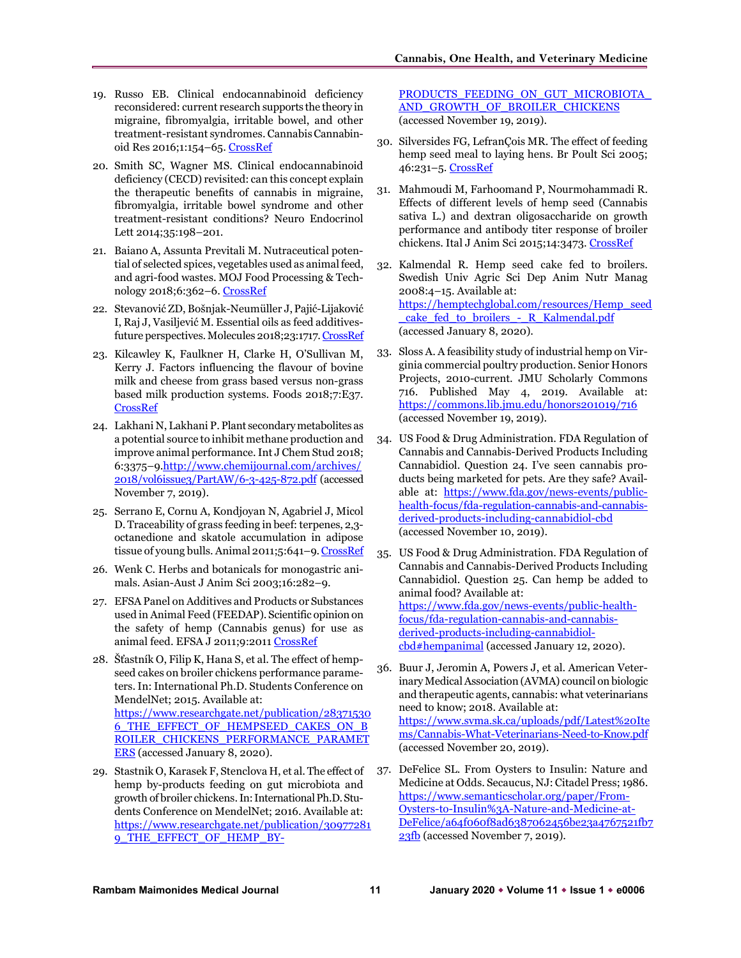- 19. Russo EB. Clinical endocannabinoid deficiency reconsidered: current research supports the theory in migraine, fibromyalgia, irritable bowel, and other treatment-resistant syndromes. Cannabis Cannabinoid Res 2016;1:154–65. [CrossRef](https://doi.org/10.1089/can.2016.0009)
- 20. Smith SC, Wagner MS. Clinical endocannabinoid deficiency (CECD) revisited: can this concept explain the therapeutic benefits of cannabis in migraine, fibromyalgia, irritable bowel syndrome and other treatment-resistant conditions? Neuro Endocrinol Lett 2014;35:198–201.
- 21. Baiano A, Assunta Previtali M. Nutraceutical potential of selected spices, vegetables used as animal feed, and agri-food wastes. MOJ Food Processing & Technology 2018;6:362–6[. CrossRef](https://doi.org/10.15406/mojfpt.2018.06.00188)
- 22. Stevanović ZD, Bošnjak-Neumüller J, Pajić-Lijaković I, Raj J, Vasiljević M. Essential oils as feed additivesfuture perspectives. Molecules 2018;23:1717[. CrossRef](https://doi.org/10.3390/molecules23071717)
- 23. Kilcawley K, Faulkner H, Clarke H, O'Sullivan M, Kerry J. Factors influencing the flavour of bovine milk and cheese from grass based versus non-grass based milk production systems. Foods 2018;7:E37. [CrossRef](https://doi.org/10.3390/foods7030037)
- 24. Lakhani N, Lakhani P. Plant secondary metabolites as a potential source to inhibit methane production and improve animal performance. Int J Chem Stud 2018; 6:3375–9[.http://www.chemijournal.com/archives/](http://www.chemijournal.com/archives/2018/vol6issue3/PartAW/6-3-425-872.pdf)  [2018/vol6issue3/PartAW/6-3-425-872.pdf](http://www.chemijournal.com/archives/2018/vol6issue3/PartAW/6-3-425-872.pdf) (accessed November 7, 2019).
- 25. Serrano E, Cornu A, Kondjoyan N, Agabriel J, Micol D. Traceability of grass feeding in beef: terpenes, 2,3 octanedione and skatole accumulation in adipose tissue of young bulls. Animal 2011;5:641-9[. CrossRef](https://doi.org/10.1017/S1751731110002296)
- 26. Wenk C. Herbs and botanicals for monogastric animals. Asian-Aust J Anim Sci 2003;16:282–9.
- 27. EFSA Panel on Additives and Products or Substances used in Animal Feed (FEEDAP). Scientific opinion on the safety of hemp (Cannabis genus) for use as animal feed. EFSA J 2011;9:201[1 CrossRef](https://doi.org/10.2903/j.efsa.2011.2011)
- 28. Šťastník O, Filip K, Hana S, et al. The effect of hempseed cakes on broiler chickens performance parameters. In: International Ph.D. Students Conference on MendelNet; 2015. Available at: [https://www.researchgate.net/publication/28371530](https://www.researchgate.net/publication/283715306_THE_EFFECT_OF_HEMPSEED_CAKES_ON_BROILER_CHICKENS_PERFORMANCE_PARAMETERS) [6\\_THE\\_EFFECT\\_OF\\_HEMPSEED\\_CAKES\\_ON\\_B](https://www.researchgate.net/publication/283715306_THE_EFFECT_OF_HEMPSEED_CAKES_ON_BROILER_CHICKENS_PERFORMANCE_PARAMETERS) [ROILER\\_CHICKENS\\_PERFORMANCE\\_PARAMET](https://www.researchgate.net/publication/283715306_THE_EFFECT_OF_HEMPSEED_CAKES_ON_BROILER_CHICKENS_PERFORMANCE_PARAMETERS) [ERS](https://www.researchgate.net/publication/283715306_THE_EFFECT_OF_HEMPSEED_CAKES_ON_BROILER_CHICKENS_PERFORMANCE_PARAMETERS) (accessed January 8, 2020).
- 29. Stastnik O, Karasek F, Stenclova H, et al. The effect of hemp by-products feeding on gut microbiota and growth of broiler chickens. In: International Ph.D. Students Conference on MendelNet; 2016. Available at: [https://www.researchgate.net/publication/30977281](https://www.researchgate.net/publication/309772819_THE_EFFECT_OF_HEMP_BY-PRODUCTS_FEEDING_ON_GUT_MICROBIOTA_AND_GROWTH_OF_BROILER_CHICKENS) 9 THE EFFECT OF HEMP BY-

PRODUCTS\_FEEDING\_ON\_GUT\_MICROBIOTA AND\_GROWTH\_OF\_BROILER\_CHICKENS (accessed November 19, 2019).

- 30. Silversides FG, LefranÇois MR. The effect of feeding hemp seed meal to laying hens. Br Poult Sci 2005; 46:231–5[. CrossRef](https://doi.org/10.1080/0071660500066183)
- 31. Mahmoudi M, Farhoomand P, Nourmohammadi R. Effects of different levels of hemp seed (Cannabis sativa L.) and dextran oligosaccharide on growth performance and antibody titer response of broiler chickens. Ital J Anim Sci 2015;14:3473[. CrossRef](https://doi.org/10.4081/ijas.2015.3473)
- 32. Kalmendal R. Hemp seed cake fed to broilers. Swedish Univ Agric Sci Dep Anim Nutr Manag 2008:4–15. Available at: [https://hemptechglobal.com/resources/Hemp\\_seed](https://hemptechglobal.com/resources/Hemp_seed_cake_fed_to_broilers_-_R_Kalmendal.pdf) [\\_cake\\_fed\\_to\\_broilers\\_-\\_R\\_Kalmendal.pdf](https://hemptechglobal.com/resources/Hemp_seed_cake_fed_to_broilers_-_R_Kalmendal.pdf)  (accessed January 8, 2020).
- 33. Sloss A. A feasibility study of industrial hemp on Virginia commercial poultry production. Senior Honors Projects, 2010-current. JMU Scholarly Commons 716. Published May 4, 2019. Available at: <https://commons.lib.jmu.edu/honors201019/716> (accessed November 19, 2019).
- 34. US Food & Drug Administration. FDA Regulation of Cannabis and Cannabis-Derived Products Including Cannabidiol. Question 24. I've seen cannabis products being marketed for pets. Are they safe? Available at: [https://www.fda.gov/news-events/public](https://www.fda.gov/news-events/public-health-focus/fda-regulation-cannabis-and-cannabis-derived-products-including-cannabidiol-cbd)[health-focus/fda-regulation-cannabis-and-cannabis](https://www.fda.gov/news-events/public-health-focus/fda-regulation-cannabis-and-cannabis-derived-products-including-cannabidiol-cbd)[derived-products-including-cannabidiol-cbd](https://www.fda.gov/news-events/public-health-focus/fda-regulation-cannabis-and-cannabis-derived-products-including-cannabidiol-cbd) (accessed November 10, 2019).
- 35. US Food & Drug Administration. FDA Regulation of Cannabis and Cannabis-Derived Products Including Cannabidiol. Question 25. Can hemp be added to animal food? Available at: [https://www.fda.gov/news-events/public-health](https://www.fda.gov/news-events/public-health-focus/fda-regulation-cannabis-and-cannabis-derived-products-including-cannabidiol-cbd#hempanimal)[focus/fda-regulation-cannabis-and-cannabis](https://www.fda.gov/news-events/public-health-focus/fda-regulation-cannabis-and-cannabis-derived-products-including-cannabidiol-cbd#hempanimal)[derived-products-including-cannabidiol](https://www.fda.gov/news-events/public-health-focus/fda-regulation-cannabis-and-cannabis-derived-products-including-cannabidiol-cbd#hempanimal)[cbd#hempanimal](https://www.fda.gov/news-events/public-health-focus/fda-regulation-cannabis-and-cannabis-derived-products-including-cannabidiol-cbd#hempanimal) (accessed January 12, 2020).
- 36. Buur J, Jeromin A, Powers J, et al. American Veterinary Medical Association (AVMA) council on biologic and therapeutic agents, cannabis: what veterinarians need to know; 2018. Available at: [https://www.svma.sk.ca/uploads/pdf/Latest%20Ite](https://www.svma.sk.ca/uploads/pdf/Latest%20Items/Cannabis-What-Veterinarians-Need-to-Know.pdf) [ms/Cannabis-What-Veterinarians-Need-to-Know.pdf](https://www.svma.sk.ca/uploads/pdf/Latest%20Items/Cannabis-What-Veterinarians-Need-to-Know.pdf) (accessed November 20, 2019).
- 37. DeFelice SL. From Oysters to Insulin: Nature and Medicine at Odds. Secaucus, NJ: Citadel Press; 1986. [https://www.semanticscholar.org/paper/From-](https://www.semanticscholar.org/paper/From-Oysters-to-Insulin%3A-Nature-and-Medicine-at-DeFelice/a64f060f8ad6387062456be23a4767521fb723fb)[Oysters-to-Insulin%3A-Nature-and-Medicine-at-](https://www.semanticscholar.org/paper/From-Oysters-to-Insulin%3A-Nature-and-Medicine-at-DeFelice/a64f060f8ad6387062456be23a4767521fb723fb)[DeFelice/a64f060f8ad6387062456be23a4767521fb7](https://www.semanticscholar.org/paper/From-Oysters-to-Insulin%3A-Nature-and-Medicine-at-DeFelice/a64f060f8ad6387062456be23a4767521fb723fb) [23fb](https://www.semanticscholar.org/paper/From-Oysters-to-Insulin%3A-Nature-and-Medicine-at-DeFelice/a64f060f8ad6387062456be23a4767521fb723fb) (accessed November 7, 2019).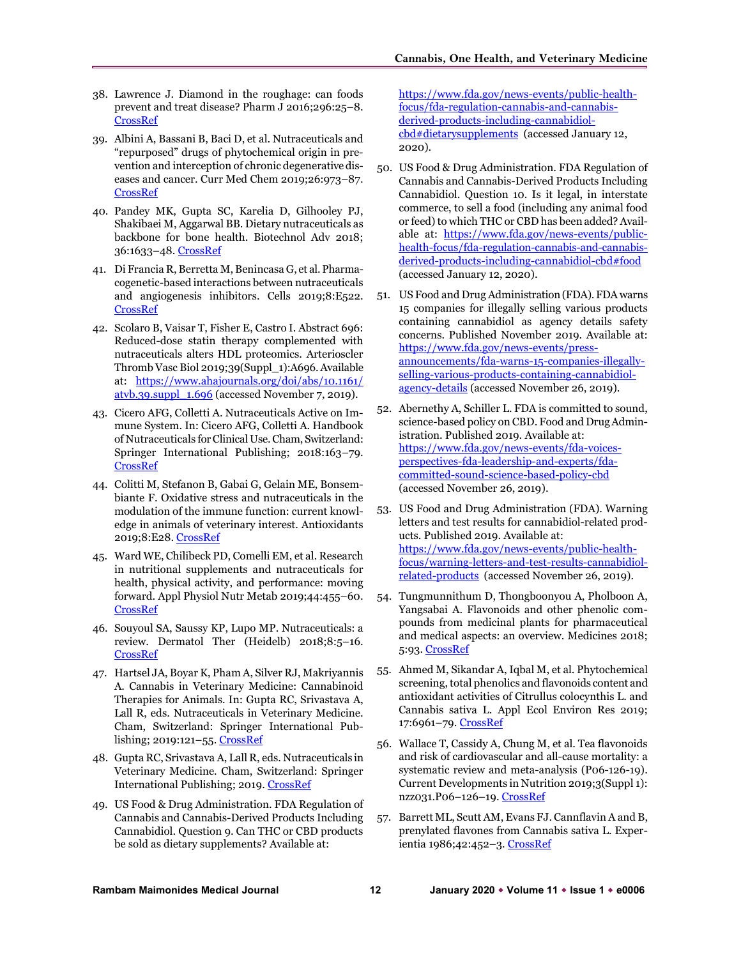- 38. Lawrence J. Diamond in the roughage: can foods prevent and treat disease? Pharm J 2016;296:25–8. [CrossRef](https://doi.org/10.1211/PJ.2016.20200551)
- 39. Albini A, Bassani B, Baci D, et al. Nutraceuticals and "repurposed" drugs of phytochemical origin in prevention and interception of chronic degenerative diseases and cancer. Curr Med Chem 2019;26:973–87. [CrossRef](https://doi.org/10.2174/0929867324666170920144130)
- 40. Pandey MK, Gupta SC, Karelia D, Gilhooley PJ, Shakibaei M, Aggarwal BB. Dietary nutraceuticals as backbone for bone health. Biotechnol Adv 2018; 36:1633–48. [CrossRef](https://doi.org/10.1016/j.biotechadv.2018.03.014)
- 41. Di Francia R, Berretta M, Benincasa G, et al. Pharmacogenetic-based interactions between nutraceuticals and angiogenesis inhibitors. Cells 2019;8:E522. [CrossRef](https://doi.org/10.3390/cells8060522)
- 42. Scolaro B, Vaisar T, Fisher E, Castro I. Abstract 696: Reduced-dose statin therapy complemented with nutraceuticals alters HDL proteomics. Arterioscler Thromb Vasc Biol 2019;39(Suppl\_1):A696. Available at: [https://www.ahajournals.org/doi/abs/10.1161/](https://www.ahajournals.org/doi/abs/10.1161/atvb.39.suppl_1.696)  [atvb.39.suppl\\_1.696](https://www.ahajournals.org/doi/abs/10.1161/atvb.39.suppl_1.696) (accessed November 7, 2019).
- 43. Cicero AFG, Colletti A. Nutraceuticals Active on Immune System. In: Cicero AFG, Colletti A. Handbook of Nutraceuticals for Clinical Use. Cham, Switzerland: Springer International Publishing; 2018:163–79. [CrossRef](https://doi.org/10.1007/978-3-319-73642-6_13)
- 44. Colitti M, Stefanon B, Gabai G, Gelain ME, Bonsembiante F. Oxidative stress and nutraceuticals in the modulation of the immune function: current knowledge in animals of veterinary interest. Antioxidants 2019;8:E28. [CrossRef](https://doi.org/10.3390/antiox8010028)
- 45. Ward WE, Chilibeck PD, Comelli EM, et al. Research in nutritional supplements and nutraceuticals for health, physical activity, and performance: moving forward. Appl Physiol Nutr Metab 2019;44:455–60. [CrossRef](https://doi.org/10.1139/apnm-2018-0781)
- 46. Souyoul SA, Saussy KP, Lupo MP. Nutraceuticals: a review. Dermatol Ther (Heidelb) 2018;8:5–16. [CrossRef](https://doi.org/10.1007/s13555-018-0221-x)
- 47. Hartsel JA, Boyar K, Pham A, Silver RJ, Makriyannis A. Cannabis in Veterinary Medicine: Cannabinoid Therapies for Animals. In: Gupta RC, Srivastava A, Lall R, eds. Nutraceuticals in Veterinary Medicine. Cham, Switzerland: Springer International Publishing; 2019:121–55[. CrossRef](https://doi.org/10.1007/978-3-030-04624-8_10)
- 48. Gupta RC, Srivastava A, Lall R, eds. Nutraceuticals in Veterinary Medicine. Cham, Switzerland: Springer International Publishing; 2019[. CrossRef](https://doi.org/10.1007/978-3-030-04624-8)
- 49. US Food & Drug Administration. FDA Regulation of Cannabis and Cannabis-Derived Products Including Cannabidiol. Question 9. Can THC or CBD products be sold as dietary supplements? Available at:

[https://www.fda.gov/news-events/public-health](https://www.fda.gov/news-events/public-health-focus/fda-regulation-cannabis-and-cannabis-derived-products-including-cannabidiol-cbd#dietarysupplements)[focus/fda-regulation-cannabis-and-cannabis](https://www.fda.gov/news-events/public-health-focus/fda-regulation-cannabis-and-cannabis-derived-products-including-cannabidiol-cbd#dietarysupplements)[derived-products-including-cannabidiol](https://www.fda.gov/news-events/public-health-focus/fda-regulation-cannabis-and-cannabis-derived-products-including-cannabidiol-cbd#dietarysupplements)[cbd#dietarysupplements](https://www.fda.gov/news-events/public-health-focus/fda-regulation-cannabis-and-cannabis-derived-products-including-cannabidiol-cbd#dietarysupplements) (accessed January 12, 2020).

- 50. US Food & Drug Administration. FDA Regulation of Cannabis and Cannabis-Derived Products Including Cannabidiol. Question 10. Is it legal, in interstate commerce, to sell a food (including any animal food or feed) to which THC or CBD has been added? Available at: [https://www.fda.gov/news-events/public](https://www.fda.gov/news-events/public-health-focus/fda-regulation-cannabis-and-cannabis-derived-products-including-cannabidiol-cbd#food)[health-focus/fda-regulation-cannabis-and-cannabis](https://www.fda.gov/news-events/public-health-focus/fda-regulation-cannabis-and-cannabis-derived-products-including-cannabidiol-cbd#food)[derived-products-including-cannabidiol-cbd#food](https://www.fda.gov/news-events/public-health-focus/fda-regulation-cannabis-and-cannabis-derived-products-including-cannabidiol-cbd#food)  (accessed January 12, 2020).
- 51. US Food and Drug Administration (FDA). FDA warns 15 companies for illegally selling various products containing cannabidiol as agency details safety concerns. Published November 2019. Available at: [https://www.fda.gov/news-events/press](https://www.fda.gov/news-events/press-announcements/fda-warns-15-companies-illegally-selling-various-products-containing-cannabidiol-agency-details)[announcements/fda-warns-15-companies-illegally](https://www.fda.gov/news-events/press-announcements/fda-warns-15-companies-illegally-selling-various-products-containing-cannabidiol-agency-details)[selling-various-products-containing-cannabidiol](https://www.fda.gov/news-events/press-announcements/fda-warns-15-companies-illegally-selling-various-products-containing-cannabidiol-agency-details)[agency-details](https://www.fda.gov/news-events/press-announcements/fda-warns-15-companies-illegally-selling-various-products-containing-cannabidiol-agency-details) (accessed November 26, 2019).
- 52. Abernethy A, Schiller L. FDA is committed to sound, science-based policy on CBD. Food and Drug Administration. Published 2019. Available at: [https://www.fda.gov/news-events/fda-voices](https://www.fda.gov/news-events/fda-voices-perspectives-fda-leadership-and-experts/fda-committed-sound-science-based-policy-cbd)[perspectives-fda-leadership-and-experts/fda](https://www.fda.gov/news-events/fda-voices-perspectives-fda-leadership-and-experts/fda-committed-sound-science-based-policy-cbd)[committed-sound-science-based-policy-cbd](https://www.fda.gov/news-events/fda-voices-perspectives-fda-leadership-and-experts/fda-committed-sound-science-based-policy-cbd) (accessed November 26, 2019).
- 53. US Food and Drug Administration (FDA). Warning letters and test results for cannabidiol-related products. Published 2019. Available at: [https://www.fda.gov/news-events/public-health](https://www.fda.gov/news-events/public-health-focus/warning-letters-and-test-results-cannabidiol-related-products)[focus/warning-letters-and-test-results-cannabidiol](https://www.fda.gov/news-events/public-health-focus/warning-letters-and-test-results-cannabidiol-related-products)[related-products](https://www.fda.gov/news-events/public-health-focus/warning-letters-and-test-results-cannabidiol-related-products) (accessed November 26, 2019).
- 54. Tungmunnithum D, Thongboonyou A, Pholboon A, Yangsabai A. Flavonoids and other phenolic compounds from medicinal plants for pharmaceutical and medical aspects: an overview. Medicines 2018; 5:93. [CrossRef](https://doi.org/10.3390/medicines5030093)
- 55. Ahmed M, Sikandar A, Iqbal M, et al. Phytochemical screening, total phenolics and flavonoids content and antioxidant activities of Citrullus colocynthis L. and Cannabis sativa L. Appl Ecol Environ Res 2019; 17:6961-79. [CrossRef](https://doi.org/10.15666/aeer/1703_69616979)
- 56. Wallace T, Cassidy A, Chung M, et al. Tea flavonoids and risk of cardiovascular and all-cause mortality: a systematic review and meta-analysis (P06-126-19). Current Developments in Nutrition 2019;3(Suppl 1): nzz031.P06–126–19. [CrossRef](https://doi.org/10.1093/cdn/nzz031.P06-126-19)
- 57. Barrett ML, Scutt AM, Evans FJ. Cannflavin A and B, prenylated flavones from Cannabis sativa L. Exper-ientia 1986;42:452-3. [CrossRef](https://doi.org/10.1007/BF02118655)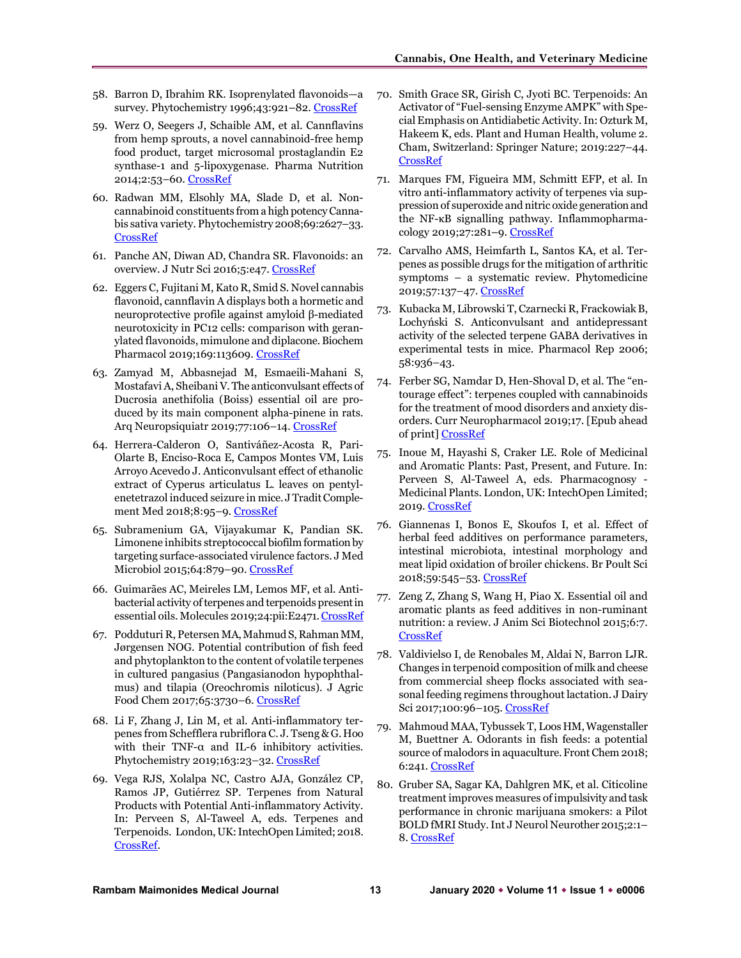- 58. Barron D, Ibrahim RK. Isoprenylated flavonoids—a survey. Phytochemistry 1996;43:921–82[. CrossRef](https://doi.org/10.1016/S0031-9422(96)00344-5)
- 59. Werz O, Seegers J, Schaible AM, et al. Cannflavins from hemp sprouts, a novel cannabinoid-free hemp food product, target microsomal prostaglandin E2 synthase-1 and 5-lipoxygenase. Pharma Nutrition 2014;2:53–60[. CrossRef](https://doi.org/10.1016/j.phanu.2014.05.001)
- 60. Radwan MM, Elsohly MA, Slade D, et al. Noncannabinoid constituents from a high potency Cannabis sativa variety. Phytochemistry 2008;69:2627–33. [CrossRef](https://doi.org/10.1016/j.phytochem.2008.07.010)
- 61. Panche AN, Diwan AD, Chandra SR. Flavonoids: an overview. J Nutr Sci 2016;5:e47. [CrossRef](https://doi.org/10.1017/jns.2016.41)
- 62. Eggers C, Fujitani M, Kato R, Smid S. Novel cannabis flavonoid, cannflavin A displays both a hormetic and neuroprotective profile against amyloid β-mediated neurotoxicity in PC12 cells: comparison with geranylated flavonoids, mimulone and diplacone. Biochem Pharmacol 2019;169:113609. [CrossRef](https://doi.org/10.1016/j.bcp.2019.08.011)
- 63. Zamyad M, Abbasnejad M, Esmaeili-Mahani S, Mostafavi A, Sheibani V. The anticonvulsant effects of Ducrosia anethifolia (Boiss) essential oil are produced by its main component alpha-pinene in rats. Arq Neuropsiquiatr 2019;77:106–14[. CrossRef](https://doi.org/10.1590/0004-282x20180147)
- 64. Herrera-Calderon O, Santiváñez-Acosta R, Pari-Olarte B, Enciso-Roca E, Campos Montes VM, Luis Arroyo Acevedo J. Anticonvulsant effect of ethanolic extract of Cyperus articulatus L. leaves on pentylenetetrazol induced seizure in mice. J Tradit Complement Med 2018;8:95–9[. CrossRef](https://doi.org/10.1016/j.jtcme.2017.03.001)
- 65. Subramenium GA, Vijayakumar K, Pandian SK. Limonene inhibits streptococcal biofilm formation by targeting surface-associated virulence factors. J Med Microbiol 2015;64:879–90[. CrossRef](https://doi.org/10.1099/jmm.0.000105)
- 66. Guimarães AC, Meireles LM, Lemos MF, et al. Antibacterial activity of terpenes and terpenoids present in essential oils. Molecules 2019;24:pii:E2471[. CrossRef](https://doi.org/10.3390/molecules24132471)
- 67. Podduturi R, Petersen MA, Mahmud S, Rahman MM, Jørgensen NOG. Potential contribution of fish feed and phytoplankton to the content of volatile terpenes in cultured pangasius (Pangasianodon hypophthalmus) and tilapia (Oreochromis niloticus). J Agric Food Chem 2017;65:3730–6[. CrossRef](https://doi.org/10.1021/acs.jafc.7b00497)
- 68. Li F, Zhang J, Lin M, et al. Anti-inflammatory terpenes from Schefflera rubriflora C. J. Tseng & G. Hoo with their TNF-α and IL-6 inhibitory activities. Phytochemistry 2019;163:23–32[. CrossRef](https://doi.org/10.1016/j.phytochem.2019.03.021)
- 69. Vega RJS, Xolalpa NC, Castro AJA, González CP, Ramos JP, Gutiérrez SP. Terpenes from Natural Products with Potential Anti-inflammatory Activity. In: Perveen S, Al-Taweel A, eds. Terpenes and Terpenoids. London, UK: IntechOpen Limited; 2018. [CrossRef.](https://doi.org/10.5772/intechopen.73215)
- 70. Smith Grace SR, Girish C, Jyoti BC. Terpenoids: An Activator of "Fuel-sensing Enzyme AMPK" with Special Emphasis on Antidiabetic Activity. In: Ozturk M, Hakeem K, eds. Plant and Human Health, volume 2. Cham, Switzerland: Springer Nature; 2019:227–44. [CrossRef](https://doi.org/10.1007/978-3-030-03344-6_9)
- 71. Marques FM, Figueira MM, Schmitt EFP, et al. In vitro anti-inflammatory activity of terpenes via suppression of superoxide and nitric oxide generation and the NF-κB signalling pathway. Inflammopharmacology 2019;27:281–9[. CrossRef](https://doi.org/10.1007/s10787-018-0483-z)
- 72. Carvalho AMS, Heimfarth L, Santos KA, et al. Terpenes as possible drugs for the mitigation of arthritic symptoms – a systematic review. Phytomedicine 2019;57:137–47[. CrossRef](https://doi.org/10.1016/j.phymed.2018.10.028)
- 73. Kubacka M, Librowski T, Czarnecki R, Frackowiak B, Lochyński S. Anticonvulsant and antidepressant activity of the selected terpene GABA derivatives in experimental tests in mice. Pharmacol Rep 2006; 58:936–43.
- 74. Ferber SG, Namdar D, Hen-Shoval D, et al. The "entourage effect": terpenes coupled with cannabinoids for the treatment of mood disorders and anxiety disorders. Curr Neuropharmacol 2019;17. [Epub ahead of print] [CrossRef](https://doi.org/10.2174/1570159X17666190903103923)
- 75. Inoue M, Hayashi S, Craker LE. Role of Medicinal and Aromatic Plants: Past, Present, and Future. In: Perveen S, Al-Taweel A, eds. Pharmacognosy - Medicinal Plants. London, UK: IntechOpen Limited; 2019. [CrossRef](https://doi.org/10.5772/intechopen.82497)
- 76. Giannenas I, Bonos E, Skoufos I, et al. Effect of herbal feed additives on performance parameters, intestinal microbiota, intestinal morphology and meat lipid oxidation of broiler chickens. Br Poult Sci 2018;59:545–53[. CrossRef](https://doi.org/10.1080/00071668.2018.1483577)
- 77. Zeng Z, Zhang S, Wang H, Piao X. Essential oil and aromatic plants as feed additives in non-ruminant nutrition: a review. J Anim Sci Biotechnol 2015;6:7. [CrossRef](https://doi.org/10.1186/s40104-015-0004-5)
- 78. Valdivielso I, de Renobales M, Aldai N, Barron LJR. Changes in terpenoid composition of milk and cheese from commercial sheep flocks associated with seasonal feeding regimens throughout lactation. J Dairy Sci 2017;100:96–105. [CrossRef](https://doi.org/10.3168/jds.2016-11761)
- 79. Mahmoud MAA, Tybussek T, Loos HM, Wagenstaller M, Buettner A. Odorants in fish feeds: a potential source of malodors in aquaculture. Front Chem 2018; 6:241. [CrossRef](https://doi.org/10.3389/fchem.2018.00241)
- 80. Gruber SA, Sagar KA, Dahlgren MK, et al. Citicoline treatment improves measures of impulsivity and task performance in chronic marijuana smokers: a Pilot BOLD fMRI Study. Int J Neurol Neurother 2015;2:1– 8[. CrossRef](https://doi.org/10.23937/2378-3001/2/2/1032)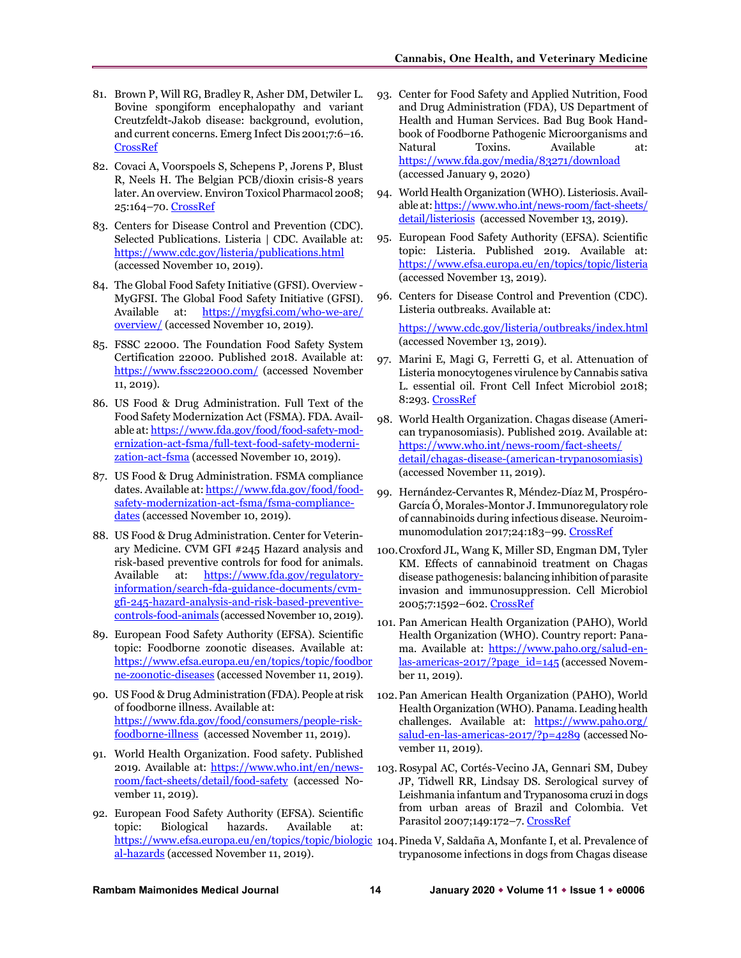- 81. Brown P, Will RG, Bradley R, Asher DM, Detwiler L. Bovine spongiform encephalopathy and variant Creutzfeldt-Jakob disease: background, evolution, and current concerns. Emerg Infect Dis 2001;7:6–16. [CrossRef](https://doi.org/10.3201/eid0701.010102)
- 82. Covaci A, Voorspoels S, Schepens P, Jorens P, Blust R, Neels H. The Belgian PCB/dioxin crisis-8 years later. An overview. Environ Toxicol Pharmacol 2008; 25:164-70[. CrossRef](https://doi.org/10.1016/j.etap.2007.10.003)
- 83. Centers for Disease Control and Prevention (CDC). Selected Publications. Listeria | CDC. Available at: <https://www.cdc.gov/listeria/publications.html> (accessed November 10, 2019).
- 84. The Global Food Safety Initiative (GFSI). Overview MyGFSI. The Global Food Safety Initiative (GFSI). Available at: https://mygfsi.com/who-we-are/ [overview/](https://mygfsi.com/who-we-are/%20overview/) (accessed November 10, 2019).
- 85. FSSC 22000. The Foundation Food Safety System Certification 22000. Published 2018. Available at: <https://www.fssc22000.com/> (accessed November 11, 2019).
- 86. US Food & Drug Administration. Full Text of the Food Safety Modernization Act (FSMA). FDA. Available at[: https://www.fda.gov/food/food-safety-mod](https://www.fda.gov/food/food-safety-modernization-act-fsma/full-text-food-safety-modernization-act-fsma)[ernization-act-fsma/full-text-food-safety-moderni](https://www.fda.gov/food/food-safety-modernization-act-fsma/full-text-food-safety-modernization-act-fsma)[zation-act-fsma](https://www.fda.gov/food/food-safety-modernization-act-fsma/full-text-food-safety-modernization-act-fsma) (accessed November 10, 2019).
- 87. US Food & Drug Administration. FSMA compliance dates. Available at[: https://www.fda.gov/food/food](https://www.fda.gov/food/food-safety-modernization-act-fsma/fsma-compliance-dates)[safety-modernization-act-fsma/fsma-compliance](https://www.fda.gov/food/food-safety-modernization-act-fsma/fsma-compliance-dates)[dates](https://www.fda.gov/food/food-safety-modernization-act-fsma/fsma-compliance-dates) (accessed November 10, 2019).
- 88. US Food & Drug Administration. Center for Veterinary Medicine. CVM GFI #245 Hazard analysis and risk-based preventive controls for food for animals. Available at: [https://www.fda.gov/regulatory](https://www.fda.gov/regulatory-information/search-fda-guidance-documents/cvm-gfi-245-hazard-analysis-and-risk-based-preventive-controls-food-animals)[information/search-fda-guidance-documents/cvm](https://www.fda.gov/regulatory-information/search-fda-guidance-documents/cvm-gfi-245-hazard-analysis-and-risk-based-preventive-controls-food-animals)[gfi-245-hazard-analysis-and-risk-based-preventive](https://www.fda.gov/regulatory-information/search-fda-guidance-documents/cvm-gfi-245-hazard-analysis-and-risk-based-preventive-controls-food-animals)[controls-food-animals](https://www.fda.gov/regulatory-information/search-fda-guidance-documents/cvm-gfi-245-hazard-analysis-and-risk-based-preventive-controls-food-animals) (accessed November 10, 2019).
- 89. European Food Safety Authority (EFSA). Scientific topic: Foodborne zoonotic diseases. Available at: [https://www.efsa.europa.eu/en/topics/topic/foodbor](https://www.efsa.europa.eu/en/topics/topic/foodborne-zoonotic-diseases) [ne-zoonotic-diseases](https://www.efsa.europa.eu/en/topics/topic/foodborne-zoonotic-diseases) (accessed November 11, 2019).
- 90. US Food & Drug Administration (FDA). People at risk of foodborne illness. Available at: [https://www.fda.gov/food/consumers/people-risk](https://www.fda.gov/food/consumers/people-risk-foodborne-illness)[foodborne-illness](https://www.fda.gov/food/consumers/people-risk-foodborne-illness) (accessed November 11, 2019).
- 91. World Health Organization. Food safety. Published 2019. Available at: [https://www.who.int/en/news](https://www.who.int/en/news-room/fact-sheets/detail/food-safety)[room/fact-sheets/detail/food-safety](https://www.who.int/en/news-room/fact-sheets/detail/food-safety) (accessed November 11, 2019).
- 92. European Food Safety Authority (EFSA). Scientific topic: Biological hazards. Available at: [al-hazards](https://www.efsa.europa.eu/en/topics/topic/biological-hazards) (accessed November 11, 2019).
- 93. Center for Food Safety and Applied Nutrition, Food and Drug Administration (FDA), US Department of Health and Human Services. Bad Bug Book Handbook of Foodborne Pathogenic Microorganisms and Natural Toxins. Available at: <https://www.fda.gov/media/83271/download> (accessed January 9, 2020)
- 94. World Health Organization (WHO). Listeriosis. Available at[: https://www.who.int/news-room/fact-sheets/](https://www.who.int/news-room/fact-sheets/detail/listeriosis)  [detail/listeriosis](https://www.who.int/news-room/fact-sheets/detail/listeriosis) (accessed November 13, 2019).
- 95. European Food Safety Authority (EFSA). Scientific topic: Listeria. Published 2019. Available at: <https://www.efsa.europa.eu/en/topics/topic/listeria> (accessed November 13, 2019).
- 96. Centers for Disease Control and Prevention (CDC). Listeria outbreaks. Available at:

<https://www.cdc.gov/listeria/outbreaks/index.html> (accessed November 13, 2019).

- 97. Marini E, Magi G, Ferretti G, et al. Attenuation of Listeria monocytogenes virulence by Cannabis sativa L. essential oil. Front Cell Infect Microbiol 2018; 8:293[. CrossRef](https://doi.org/10.3389/fcimb.2018.00293)
- 98. World Health Organization. Chagas disease (American trypanosomiasis). Published 2019. Available at: [https://www.who.int/news-room/fact-sheets/](https://www.who.int/news-room/fact-sheets/detail/chagas-disease-(american-trypanosomiasis))  [detail/chagas-disease-\(american-trypanosomiasis\)](https://www.who.int/news-room/fact-sheets/detail/chagas-disease-(american-trypanosomiasis)) (accessed November 11, 2019).
- 99. Hernández-Cervantes R, Méndez-Díaz M, Prospéro-García Ó, Morales-Montor J. Immunoregulatory role of cannabinoids during infectious disease. Neuroimmunomodulation 2017;24:183–99[. CrossRef](https://doi.org/10.1159/000481824)
- 100.Croxford JL, Wang K, Miller SD, Engman DM, Tyler KM. Effects of cannabinoid treatment on Chagas disease pathogenesis: balancing inhibition of parasite invasion and immunosuppression. Cell Microbiol 2005;7:1592–602[. CrossRef](https://doi.org/10.1111/j.1462-5822.2005.00577.x)
- 101. Pan American Health Organization (PAHO), World Health Organization (WHO). Country report: Panama. Available at: [https://www.paho.org/salud-en](https://www.paho.org/salud-en-las-americas-2017/?page_id=145)[las-americas-2017/?page\\_id=145](https://www.paho.org/salud-en-las-americas-2017/?page_id=145) (accessed November 11, 2019).
- 102.Pan American Health Organization (PAHO), World Health Organization (WHO). Panama. Leading health challenges. Available at: [https://www.paho.org/](https://www.paho.org/salud-en-las-americas-2017/?p=4289)  [salud-en-las-americas-2017/?p=4289](https://www.paho.org/salud-en-las-americas-2017/?p=4289) (accessed November 11, 2019).
- 103. Rosypal AC, Cortés-Vecino JA, Gennari SM, Dubey JP, Tidwell RR, Lindsay DS. Serological survey of Leishmania infantum and Trypanosoma cruzi in dogs from urban areas of Brazil and Colombia. Vet Parasitol 2007;149:172–7[. CrossRef](https://doi.org/10.1016/j.vetpar.2007.08.004)
- [https://www.efsa.europa.eu/en/topics/topic/biologic](https://www.efsa.europa.eu/en/topics/topic/biological-hazards)\_104. Pineda V, Saldaña A, Monfante I, et al. Prevalence of trypanosome infections in dogs from Chagas disease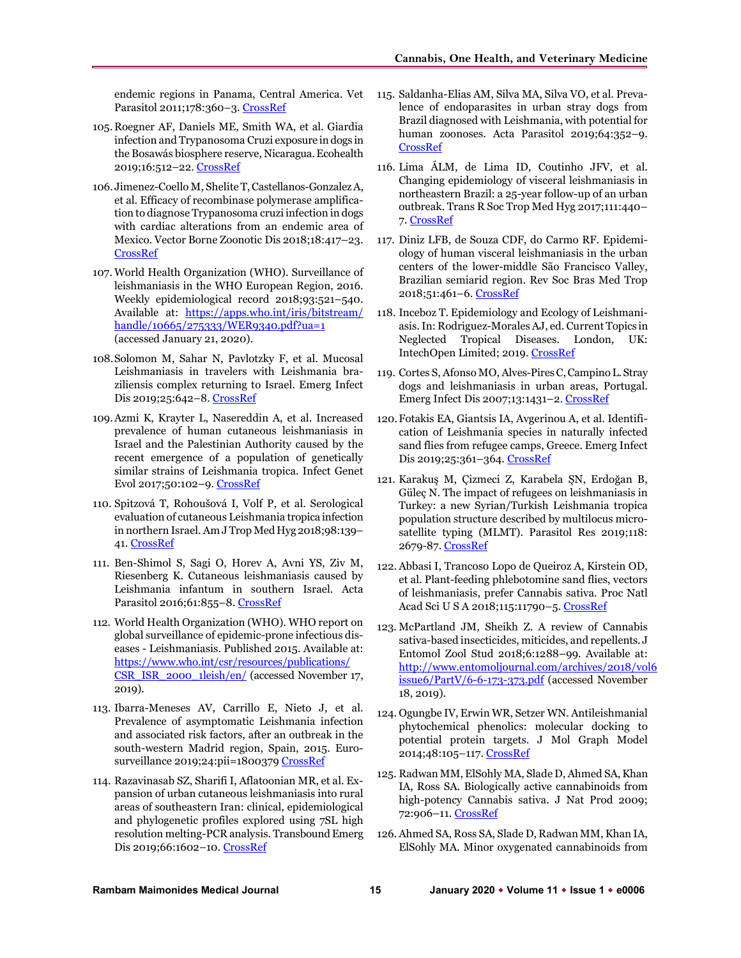endemic regions in Panama, Central America. Vet Parasitol 2011;178:360–3[. CrossRef](https://doi.org/10.1016/j.vetpar.2010.12.043)

- 105. Roegner AF, Daniels ME, Smith WA, et al. Giardia infection and Trypanosoma Cruzi exposure in dogs in the Bosawás biosphere reserve, Nicaragua. Ecohealth 2019;16:512–22[. CrossRef](https://doi.org/10.1007/s10393-019-01434-2)
- 106. Jimenez-Coello M, Shelite T, Castellanos-Gonzalez A, et al. Efficacy of recombinase polymerase amplification to diagnose Trypanosoma cruzi infection in dogs with cardiac alterations from an endemic area of Mexico. Vector Borne Zoonotic Dis 2018;18:417–23. [CrossRef](https://doi.org/10.1089/vbz.2017.2258)
- 107. World Health Organization (WHO). Surveillance of leishmaniasis in the WHO European Region, 2016. Weekly epidemiological record 2018;93:521–540. Available at: [https://apps.who.int/iris/bitstream/](https://apps.who.int/iris/bitstream/handle/10665/275333/WER9340.pdf?ua=1)  [handle/10665/275333/WER9340.pdf?ua=1](https://apps.who.int/iris/bitstream/handle/10665/275333/WER9340.pdf?ua=1) (accessed January 21, 2020).
- 108.Solomon M, Sahar N, Pavlotzky F, et al. Mucosal Leishmaniasis in travelers with Leishmania braziliensis complex returning to Israel. Emerg Infect Dis 2019;25:642–8. [CrossRef](https://doi.org/10.3201/eid2504.180239)
- 109.Azmi K, Krayter L, Nasereddin A, et al. Increased prevalence of human cutaneous leishmaniasis in Israel and the Palestinian Authority caused by the recent emergence of a population of genetically similar strains of Leishmania tropica. Infect Genet Evol 2017;50:102–9[. CrossRef](https://doi.org/10.1016/j.meegid.2016.07.035)
- 110. Spitzová T, Rohoušová I, Volf P, et al. Serological evaluation of cutaneous Leishmania tropica infection in northern Israel. Am J Trop Med Hyg 2018;98:139– 41. [CrossRef](https://doi.org/10.4269/ajtmh.17-0370)
- 111. Ben-Shimol S, Sagi O, Horev A, Avni YS, Ziv M, Riesenberg K. Cutaneous leishmaniasis caused by Leishmania infantum in southern Israel. Acta Parasitol 2016;61:855–8[. CrossRef](https://doi.org/10.1515/ap-2016-0118)
- 112. World Health Organization (WHO). WHO report on global surveillance of epidemic-prone infectious diseases - Leishmaniasis. Published 2015. Available at: [https://www.who.int/csr/resources/publications/](https://www.who.int/csr/resources/publications/CSR_ISR_2000_1leish/en/)  [CSR\\_ISR\\_2000\\_1leish/en/](https://www.who.int/csr/resources/publications/CSR_ISR_2000_1leish/en/) (accessed November 17, 2019).
- 113. Ibarra-Meneses AV, Carrillo E, Nieto J, et al. Prevalence of asymptomatic Leishmania infection and associated risk factors, after an outbreak in the south-western Madrid region, Spain, 2015. Euro-surveillance 2019;24:pii=1800379 [CrossRef](https://doi.org/10.2807/1560-7917.ES.2019.24.22.1800379)
- 114. Razavinasab SZ, Sharifi I, Aflatoonian MR, et al. Expansion of urban cutaneous leishmaniasis into rural areas of southeastern Iran: clinical, epidemiological and phylogenetic profiles explored using 7SL high resolution melting-PCR analysis. Transbound Emerg Dis 2019;66:1602–10[. CrossRef](https://doi.org/10.1111/tbed.13186)
- 115. Saldanha-Elias AM, Silva MA, Silva VO, et al. Prevalence of endoparasites in urban stray dogs from Brazil diagnosed with Leishmania, with potential for human zoonoses. Acta Parasitol 2019;64:352–9. [CrossRef](https://doi.org/10.2478/s11686-019-00043-x)
- 116. Lima ÁLM, de Lima ID, Coutinho JFV, et al. Changing epidemiology of visceral leishmaniasis in northeastern Brazil: a 25-year follow-up of an urban outbreak. Trans R Soc Trop Med Hyg 2017;111:440– 7. [CrossRef](https://doi.org/10.1093/trstmh/trx080)
- 117. Diniz LFB, de Souza CDF, do Carmo RF. Epidemiology of human visceral leishmaniasis in the urban centers of the lower-middle São Francisco Valley, Brazilian semiarid region. Rev Soc Bras Med Trop 2018;51:461–6. [CrossRef](https://doi.org/10.1590/0037-8682-0074-2018)
- 118. Inceboz T. Epidemiology and Ecology of Leishmaniasis. In: Rodriguez-Morales AJ, ed. Current Topics in Neglected Tropical Diseases. London, UK: IntechOpen Limited; 2019[. CrossRef](https://doi.org/10.5772/intechopen.86359)
- 119. Cortes S, Afonso MO, Alves-Pires C, Campino L. Stray dogs and leishmaniasis in urban areas, Portugal. Emerg Infect Dis 2007;13:1431–2[. CrossRef](https://doi.org/10.3201/eid1309.070101)
- 120.Fotakis EA, Giantsis IA, Avgerinou A, et al. Identification of Leishmania species in naturally infected sand flies from refugee camps, Greece. Emerg Infect Dis 2019;25:361-364[. CrossRef](https://doi.org/10.3201%2Feid2502.181359)
- 121. Karakuş M, Çizmeci Z, Karabela ŞN, Erdoğan B, Güleç N. The impact of refugees on leishmaniasis in Turkey: a new Syrian/Turkish Leishmania tropica population structure described by multilocus microsatellite typing (MLMT). Parasitol Res 2019;118: 2679-87[. CrossRef](https://doi.org/10.1007/s00436-019-06392-w)
- 122. Abbasi I, Trancoso Lopo de Queiroz A, Kirstein OD, et al. Plant-feeding phlebotomine sand flies, vectors of leishmaniasis, prefer Cannabis sativa. Proc Natl Acad Sci U S A 2018;115:11790–5. [CrossRef](https://doi.org/10.1073/pnas.1810435115)
- 123. McPartland JM, Sheikh Z. A review of Cannabis sativa-based insecticides, miticides, and repellents. J Entomol Zool Stud 2018;6:1288–99. Available at: [http://www.entomoljournal.com/archives/2018/vol6](http://www.entomoljournal.com/archives/2018/vol6issue6/PartV/6-6-173-373.pdf) [issue6/PartV/6-6-173-373.pdf](http://www.entomoljournal.com/archives/2018/vol6issue6/PartV/6-6-173-373.pdf) (accessed November 18, 2019).
- 124. Ogungbe IV, Erwin WR, Setzer WN. Antileishmanial phytochemical phenolics: molecular docking to potential protein targets. J Mol Graph Model 2014;48:105–117. [CrossRef](https://doi.org/10.1016/j.jmgm.2013.12.010)
- 125. Radwan MM, ElSohly MA, Slade D, Ahmed SA, Khan IA, Ross SA. Biologically active cannabinoids from high-potency Cannabis sativa. J Nat Prod 2009; 72:906–11. [CrossRef](https://doi.org/10.1021/np900067k)
- 126. Ahmed SA, Ross SA, Slade D, Radwan MM, Khan IA, ElSohly MA. Minor oxygenated cannabinoids from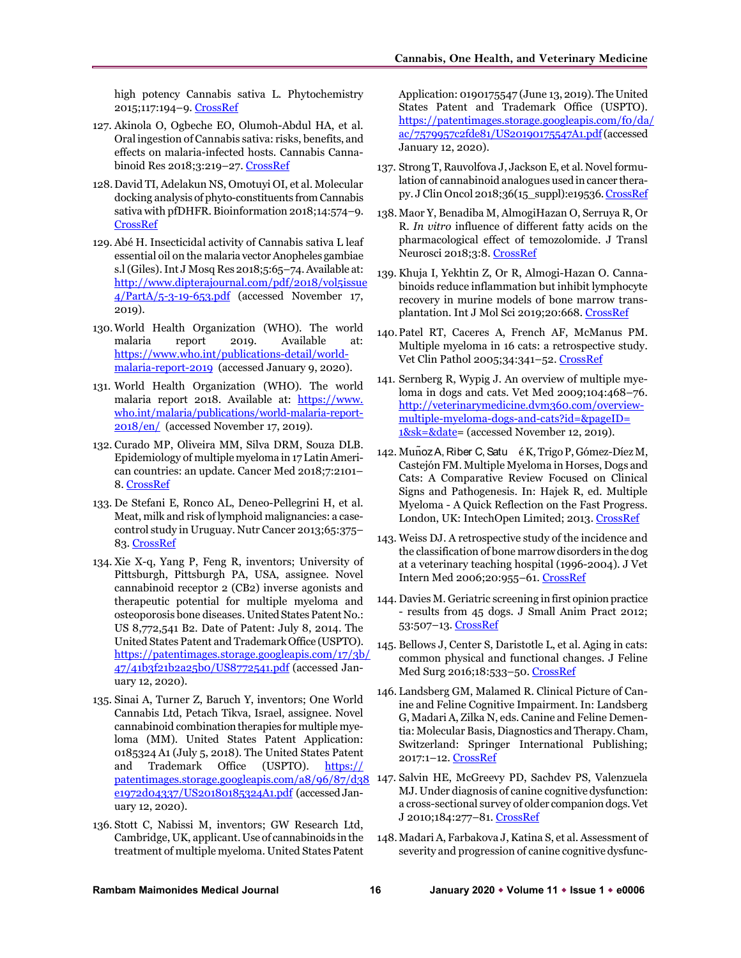high potency Cannabis sativa L. Phytochemistry 2015;117:194–9. [CrossRef](https://doi.org/10.1016/j.phytochem.2015.04.007)

- 127. Akinola O, Ogbeche EO, Olumoh-Abdul HA, et al. Oral ingestion of Cannabis sativa: risks, benefits, and effects on malaria-infected hosts. Cannabis Cannabinoid Res 2018;3:219–27[. CrossRef](https://doi.org/10.1089/can.2018.0043)
- 128.David TI, Adelakun NS, Omotuyi OI, et al. Molecular docking analysis of phyto-constituents from Cannabis sativa with pfDHFR. Bioinformation 2018;14:574–9. [CrossRef](https://doi.org/10.6026/97320630014574)
- 129. Abé H. Insecticidal activity of Cannabis sativa L leaf essential oil on the malaria vector Anopheles gambiae s.l (Giles). Int J Mosq Res 2018;5:65–74. Available at: [http://www.dipterajournal.com/pdf/2018/vol5issue](http://www.dipterajournal.com/pdf/2018/vol5issue4/PartA/5-3-19-653.pdf) [4/PartA/5-3-19-653.pdf](http://www.dipterajournal.com/pdf/2018/vol5issue4/PartA/5-3-19-653.pdf) (accessed November 17, 2019).
- 130.World Health Organization (WHO). The world malaria report 2019. Available at: [https://www.who.int/publications-detail/world](https://www.who.int/publications-detail/world-malaria-report-2019)[malaria-report-2019](https://www.who.int/publications-detail/world-malaria-report-2019) (accessed January 9, 2020).
- 131. World Health Organization (WHO). The world malaria report 2018. Available at: [https://www.](https://www.who.int/malaria/publications/world-malaria-report-2018/en/)  [who.int/malaria/publications/world-malaria-report-](https://www.who.int/malaria/publications/world-malaria-report-2018/en/)[2018/en/](https://www.who.int/malaria/publications/world-malaria-report-2018/en/) (accessed November 17, 2019).
- 132. Curado MP, Oliveira MM, Silva DRM, Souza DLB. Epidemiology of multiple myeloma in 17 Latin American countries: an update. Cancer Med 2018;7:2101– 8[. CrossRef](https://doi.org/10.1002/cam4.1347)
- 133. De Stefani E, Ronco AL, Deneo-Pellegrini H, et al. Meat, milk and risk of lymphoid malignancies: a casecontrol study in Uruguay. Nutr Cancer 2013;65:375– 83[. CrossRef](https://doi.org/10.1080/01635581.2013.761255)
- 134. Xie X-q, Yang P, Feng R, inventors; University of Pittsburgh, Pittsburgh PA, USA, assignee. Novel cannabinoid receptor 2 (CB2) inverse agonists and therapeutic potential for multiple myeloma and osteoporosis bone diseases. United States Patent No.: US 8,772,541 B2. Date of Patent: July 8, 2014. The United States Patent and Trademark Office (USPTO). [https://patentimages.storage.googleapis.com/17/3b/](https://patentimages.storage.googleapis.com/17/3b/47/41b3f21b2a25b0/US8772541.pdf) [47/41b3f21b2a25b0/US8772541.pdf](https://patentimages.storage.googleapis.com/17/3b/47/41b3f21b2a25b0/US8772541.pdf) (accessed January 12, 2020).
- 135. Sinai A, Turner Z, Baruch Y, inventors; One World Cannabis Ltd, Petach Tikva, Israel, assignee. Novel cannabinoid combination therapies for multiple myeloma (MM). United States Patent Application: 0185324 A1 (July 5, 2018). The United States Patent and Trademark Office (USPTO). [https://](https://patentimages.storage.googleapis.com/a8/96/87/d38e1972d04337/US20180185324A1.pdf)  [patentimages.storage.googleapis.com/a8/96/87/d38](https://patentimages.storage.googleapis.com/a8/96/87/d38e1972d04337/US20180185324A1.pdf) [e1972d04337/US20180185324A1.pdf](https://patentimages.storage.googleapis.com/a8/96/87/d38e1972d04337/US20180185324A1.pdf) (accessed January 12, 2020).
- 136. Stott C, Nabissi M, inventors; GW Research Ltd, Cambridge, UK, applicant. Use of cannabinoids in the treatment of multiple myeloma. United States Patent

Application: 0190175547 (June 13, 2019). The United States Patent and Trademark Office (USPTO). [https://patentimages.storage.googleapis.com/f0/da/](https://patentimages.storage.googleapis.com/f0/da/ac/7579957c2fde81/US20190175547A1.pdf) [ac/7579957c2fde81/US20190175547A1.pdf\(](https://patentimages.storage.googleapis.com/f0/da/ac/7579957c2fde81/US20190175547A1.pdf)accessed January 12, 2020).

- 137. Strong T, Rauvolfova J, Jackson E, et al. Novel formulation of cannabinoid analogues used in cancer therapy. J Clin Oncol 2018;36(15\_suppl):e19536[. CrossRef](https://doi.org/10.1200/jco.2018.36.15_suppl.e19536)
- 138. Maor Y, Benadiba M, AlmogiHazan O, Serruya R, Or R. *In vitro* influence of different fatty acids on the pharmacological effect of temozolomide. J Transl Neurosci 2018;3:8[. CrossRef](https://doi.org/10.21767/2573-5349.100021)
- 139. Khuja I, Yekhtin Z, Or R, Almogi-Hazan O. Cannabinoids reduce inflammation but inhibit lymphocyte recovery in murine models of bone marrow transplantation. Int J Mol Sci 2019;20:668. [CrossRef](https://doi.org/10.3390/ijms20030668)
- 140.Patel RT, Caceres A, French AF, McManus PM. Multiple myeloma in 16 cats: a retrospective study. Vet Clin Pathol 2005;34:341–52[. CrossRef](https://doi.org/10.1111/j.1939-165x.2005.tb00059.x)
- 141. Sernberg R, Wypig J. An overview of multiple myeloma in dogs and cats. Vet Med 2009;104:468–76. [http://veterinarymedicine.dvm360.com/overview](http://veterinarymedicine.dvm360.com/overview-multiple-myeloma-dogs-and-cats?id=&pageID=%201&sk=&date)[multiple-myeloma-dogs-and-cats?id=&pageID=](http://veterinarymedicine.dvm360.com/overview-multiple-myeloma-dogs-and-cats?id=&pageID=%201&sk=&date)  [1&sk=&date=](http://veterinarymedicine.dvm360.com/overview-multiple-myeloma-dogs-and-cats?id=&pageID=%201&sk=&date) (accessed November 12, 2019).
- 142. Munoz A, Riber C, Satu é K, Trigo P, Gómez-Díez M, Castejón FM. Multiple Myeloma in Horses, Dogs and Cats: A Comparative Review Focused on Clinical Signs and Pathogenesis. In: Hajek R, ed. Multiple Myeloma - A Quick Reflection on the Fast Progress. London, UK: IntechOpen Limited; 2013[. CrossRef](https://doi.org/10.5772/54311)
- 143. Weiss DJ. A retrospective study of the incidence and the classification of bone marrow disorders in the dog at a veterinary teaching hospital (1996-2004). J Vet Intern Med 2006;20:955–61[. CrossRef](https://doi.org/10.1892/0891-6640(2006)20%5b955:arsoti%5d2.0.co;2)
- 144. Davies M. Geriatric screening in first opinion practice - results from 45 dogs. J Small Anim Pract 2012; 53:507–13. [CrossRef](https://doi.org/10.1111/j.1748-5827.2012.01247.x)
- 145. Bellows J, Center S, Daristotle L, et al. Aging in cats: common physical and functional changes. J Feline Med Surg 2016;18:533–50. [CrossRef](https://doi.org/10.1177/1098612X16649523)
- 146. Landsberg GM, Malamed R. Clinical Picture of Canine and Feline Cognitive Impairment. In: Landsberg G, Madari A, Zilka N, eds. Canine and Feline Dementia: Molecular Basis, Diagnostics and Therapy. Cham, Switzerland: Springer International Publishing; 2017:1–12[. CrossRef](https://doi.org/10.1007/978-3-319-53219-6_1)
- 147. Salvin HE, McGreevy PD, Sachdev PS, Valenzuela MJ. Under diagnosis of canine cognitive dysfunction: a cross-sectional survey of older companion dogs. Vet J 2010;184:277–81. [CrossRef](https://doi.org/10.1016/j.tvjl.2009.11.007)
- 148.Madari A, Farbakova J, Katina S, et al. Assessment of severity and progression of canine cognitive dysfunc-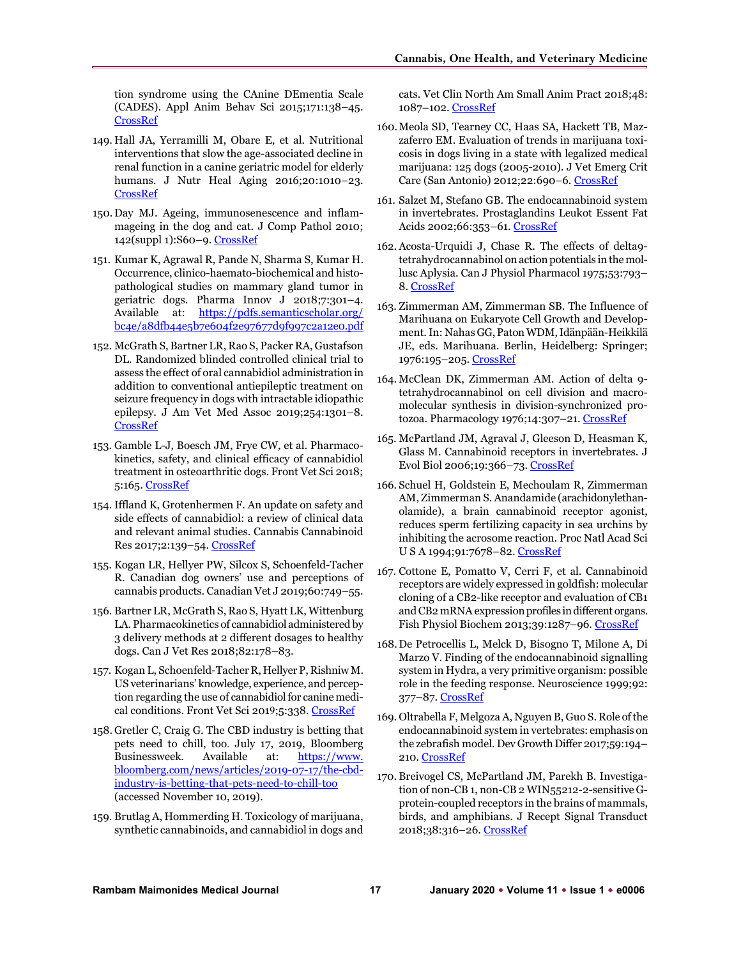tion syndrome using the CAnine DEmentia Scale (CADES). Appl Anim Behav Sci 2015;171:138–45. [CrossRef](https://doi.org/10.1016/j.applanim.2015.08.034)

- 149. Hall JA, Yerramilli M, Obare E, et al. Nutritional interventions that slow the age-associated decline in renal function in a canine geriatric model for elderly humans. J Nutr Heal Aging 2016;20:1010–23. [CrossRef](https://doi.org/10.1007/s12603-015-0636-3)
- 150. Day MJ. Ageing, immunosenescence and inflammageing in the dog and cat. J Comp Pathol 2010; 142(suppl 1):S60–9. [CrossRef](https://doi.org/10.1016/j.jcpa.2009.10.011)
- 151. Kumar K, Agrawal R, Pande N, Sharma S, Kumar H. Occurrence, clinico-haemato-biochemical and histopathological studies on mammary gland tumor in geriatric dogs. Pharma Innov J 2018;7:301–4. Available at: [https://pdfs.semanticscholar.org/](https://pdfs.semanticscholar.org/bc4e/a8dfb44e5b7e604f2e97677d9f997c2a12e0.pdf)  [bc4e/a8dfb44e5b7e604f2e97677d9f997c2a12e0.pdf](https://pdfs.semanticscholar.org/bc4e/a8dfb44e5b7e604f2e97677d9f997c2a12e0.pdf)
- 152. McGrath S, Bartner LR, Rao S, Packer RA, Gustafson DL. Randomized blinded controlled clinical trial to assess the effect of oral cannabidiol administration in addition to conventional antiepileptic treatment on seizure frequency in dogs with intractable idiopathic epilepsy. J Am Vet Med Assoc 2019;254:1301–8. [CrossRef](https://doi.org/10.2460/javma.254.11.1301)
- 153. Gamble L-J, Boesch JM, Frye CW, et al. Pharmacokinetics, safety, and clinical efficacy of cannabidiol treatment in osteoarthritic dogs. Front Vet Sci 2018; 5:165[. CrossRef](https://doi.org/10.3389/fvets.2018.00165)
- 154. Iffland K, Grotenhermen F. An update on safety and side effects of cannabidiol: a review of clinical data and relevant animal studies. Cannabis Cannabinoid Res 2017;2:139–54. [CrossRef](https://doi.org/10.1089/can.2016.0034)
- 155. Kogan LR, Hellyer PW, Silcox S, Schoenfeld-Tacher R. Canadian dog owners' use and perceptions of cannabis products. Canadian Vet J 2019;60:749–55.
- 156. Bartner LR, McGrath S, Rao S, Hyatt LK, Wittenburg LA. Pharmacokinetics of cannabidiol administered by 3 delivery methods at 2 different dosages to healthy dogs. Can J Vet Res 2018;82:178–83.
- 157. Kogan L, Schoenfeld-Tacher R, Hellyer P, Rishniw M. US veterinarians' knowledge, experience, and perception regarding the use of cannabidiol for canine medi-cal conditions. Front Vet Sci 2019;5:338[. CrossRef](https://doi.org/10.3389/fvets.2018.00338)
- 158. Gretler C, Craig G. The CBD industry is betting that pets need to chill, too. July 17, 2019, Bloomberg Businessweek. Available at: [https://www.](https://www.bloomberg.com/news/articles/2019-07-17/the-cbd-industry-is-betting-that-pets-need-to-chill-too)  [bloomberg.com/news/articles/2019-07-17/the-cbd](https://www.bloomberg.com/news/articles/2019-07-17/the-cbd-industry-is-betting-that-pets-need-to-chill-too)[industry-is-betting-that-pets-need-to-chill-too](https://www.bloomberg.com/news/articles/2019-07-17/the-cbd-industry-is-betting-that-pets-need-to-chill-too) (accessed November 10, 2019).
- 159. Brutlag A, Hommerding H. Toxicology of marijuana, synthetic cannabinoids, and cannabidiol in dogs and

cats. Vet Clin North Am Small Anim Pract 2018;48: 1087–102[. CrossRef](https://doi.org/10.1016/j.cvsm.2018.07.008)

- 160.Meola SD, Tearney CC, Haas SA, Hackett TB, Mazzaferro EM. Evaluation of trends in marijuana toxicosis in dogs living in a state with legalized medical marijuana: 125 dogs (2005-2010). J Vet Emerg Crit Care (San Antonio) 2012;22:690–6[. CrossRef](https://doi.org/10.1111/j.1476-4431.2012.00818.x)
- 161. Salzet M, Stefano GB. The endocannabinoid system in invertebrates. Prostaglandins Leukot Essent Fat Acids 2002;66:353–61[. CrossRef](https://doi.org/10.1054/plef.2001.0347)
- 162. Acosta-Urquidi J, Chase R. The effects of delta9 tetrahydrocannabinol on action potentials in the mollusc Aplysia. Can J Physiol Pharmacol 1975;53:793– 8[. CrossRef](https://doi.org/10.1139/y75-109)
- 163. Zimmerman AM, Zimmerman SB. The Influence of Marihuana on Eukaryote Cell Growth and Development. In: Nahas GG, Paton WDM, Idänpään-Heikkilä JE, eds. Marihuana. Berlin, Heidelberg: Springer; 1976:195–205[. CrossRef](https://doi.org/10.1007/978-3-642-51624-5_17)
- 164. McClean DK, Zimmerman AM. Action of delta 9 tetrahydrocannabinol on cell division and macromolecular synthesis in division-synchronized pro-tozoa. Pharmacology 1976;14:307-21. [CrossRef](https://doi.org/10.1159/000136610)
- 165. McPartland JM, Agraval J, Gleeson D, Heasman K, Glass M. Cannabinoid receptors in invertebrates. J Evol Biol 2006;19:366–73[. CrossRef](https://doi.org/10.1111/j.1420-9101.2005.01028.x)
- 166. Schuel H, Goldstein E, Mechoulam R, Zimmerman AM, Zimmerman S. Anandamide (arachidonylethanolamide), a brain cannabinoid receptor agonist, reduces sperm fertilizing capacity in sea urchins by inhibiting the acrosome reaction. Proc Natl Acad Sci U S A 1994;91:7678–82. [CrossRef](https://doi.org/10.1073/pnas.91.16.7678)
- 167. Cottone E, Pomatto V, Cerri F, et al. Cannabinoid receptors are widely expressed in goldfish: molecular cloning of a CB2-like receptor and evaluation of CB1 and CB2 mRNA expression profiles in different organs. Fish Physiol Biochem 2013;39:1287–96. [CrossRef](https://doi.org/10.1007/s10695-013-9783-9)
- 168.De Petrocellis L, Melck D, Bisogno T, Milone A, Di Marzo V. Finding of the endocannabinoid signalling system in Hydra, a very primitive organism: possible role in the feeding response. Neuroscience 1999;92: 377–87. [CrossRef](https://doi.org/10.1016/s0306-4522(98)00749-0)
- 169. Oltrabella F, Melgoza A, Nguyen B, Guo S. Role of the endocannabinoid system in vertebrates: emphasis on the zebrafish model. Dev Growth Differ 2017;59:194– 210[. CrossRef](https://doi.org/10.1111/dgd.12351)
- 170. Breivogel CS, McPartland JM, Parekh B. Investigation of non-CB 1, non-CB 2 WIN55212-2-sensitive Gprotein-coupled receptors in the brains of mammals, birds, and amphibians. J Recept Signal Transduct 2018;38:316–26. [CrossRef](https://doi.org/10.1080/10799893.2018.1494743)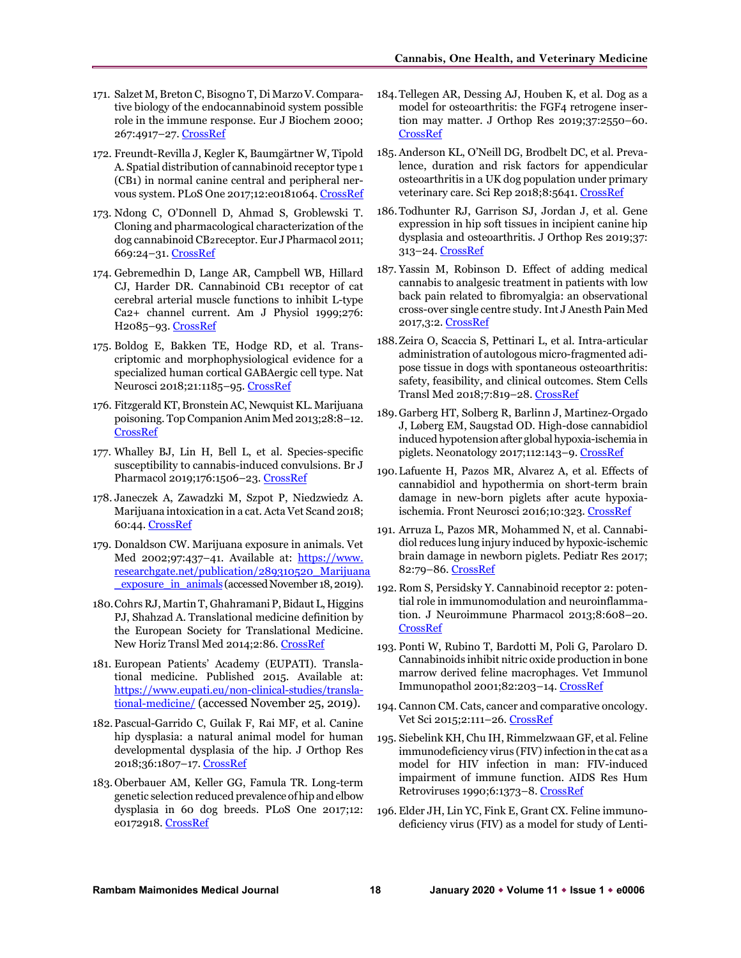- 171. Salzet M, Breton C, Bisogno T, Di Marzo V. Comparative biology of the endocannabinoid system possible role in the immune response. Eur J Biochem 2000; 267:4917–27[. CrossRef](https://doi.org/10.1046/j.1432-1327.2000.01550.x)
- 172. Freundt-Revilla J, Kegler K, Baumgärtner W, Tipold A. Spatial distribution of cannabinoid receptor type 1 (CB1) in normal canine central and peripheral ner-vous system. PLoS One 2017;12:e0181064[. CrossRef](https://doi.org/10.1371/journal.pone.0181064)
- 173. Ndong C, O'Donnell D, Ahmad S, Groblewski T. Cloning and pharmacological characterization of the dog cannabinoid CB₂receptor. Eur J Pharmacol 2011; 669:24–31. [CrossRef](https://doi.org/10.1016/j.ejphar.2011.08.002)
- 174. Gebremedhin D, Lange AR, Campbell WB, Hillard CJ, Harder DR. Cannabinoid CB1 receptor of cat cerebral arterial muscle functions to inhibit L-type Ca2+ channel current. Am J Physiol 1999;276: H2085-93. [CrossRef](https://doi.org/10.1152/ajpheart.1999.276.6.H2085)
- 175. Boldog E, Bakken TE, Hodge RD, et al. Transcriptomic and morphophysiological evidence for a specialized human cortical GABAergic cell type. Nat Neurosci 2018;21:1185–95[. CrossRef](https://doi.org/10.1038/s41593-018-0205-2)
- 176. Fitzgerald KT, Bronstein AC, Newquist KL. Marijuana poisoning. Top Companion Anim Med 2013;28:8–12. [CrossRef](https://doi.org/10.1053/j.tcam.2013.03.004)
- 177. Whalley BJ, Lin H, Bell L, et al. Species-specific susceptibility to cannabis-induced convulsions. Br J Pharmacol 2019;176:1506–23. [CrossRef](https://doi.org/10.1111/bph.14165)
- 178. Janeczek A, Zawadzki M, Szpot P, Niedzwiedz A. Marijuana intoxication in a cat. Acta Vet Scand 2018; 60:44[. CrossRef](https://doi.org/10.1186/s13028-018-0398-0)
- 179. Donaldson CW. Marijuana exposure in animals. Vet Med 2002;97:437-41. Available at: https://www. [researchgate.net/publication/289310520\\_Marijuana](https://www.researchgate.net/publication/289310520_Marijuana_exposure_in_animals) exposure in animals (accessed November 18, 2019).
- 180.Cohrs RJ, Martin T, Ghahramani P, Bidaut L, Higgins PJ, Shahzad A. Translational medicine definition by the European Society for Translational Medicine. New Horiz Transl Med 2014;2:86[. CrossRef](https://doi.org/10.1016/j.nhtm.2014.12.002)
- 181. European Patients' Academy (EUPATI). Translational medicine. Published 2015. Available at: [https://www.eupati.eu/non-clinical-studies/transla](https://www.eupati.eu/non-clinical-studies/translational-medicine/)[tional-medicine/](https://www.eupati.eu/non-clinical-studies/translational-medicine/) (accessed November 25, 2019).
- 182.Pascual-Garrido C, Guilak F, Rai MF, et al. Canine hip dysplasia: a natural animal model for human developmental dysplasia of the hip. J Orthop Res 2018;36:1807–17. [CrossRef](https://doi.org/10.1002/jor.23828)
- 183. Oberbauer AM, Keller GG, Famula TR. Long-term genetic selection reduced prevalence of hip and elbow dysplasia in 60 dog breeds. PLoS One 2017;12: e0172918. [CrossRef](https://doi.org/10.1371/journal.pone.0172918)
- 184.Tellegen AR, Dessing AJ, Houben K, et al. Dog as a model for osteoarthritis: the FGF4 retrogene insertion may matter. J Orthop Res 2019;37:2550–60. [CrossRef](https://doi.org/10.1002/jor.24432)
- 185. Anderson KL, O'Neill DG, Brodbelt DC, et al. Prevalence, duration and risk factors for appendicular osteoarthritis in a UK dog population under primary veterinary care. Sci Rep 2018;8:5641[. CrossRef](https://doi.org/10.1038/s41598-018-23940-z)
- 186.Todhunter RJ, Garrison SJ, Jordan J, et al. Gene expression in hip soft tissues in incipient canine hip dysplasia and osteoarthritis. J Orthop Res 2019;37: 313–24. [CrossRef](https://doi.org/10.1002/jor.24178)
- 187. Yassin M, Robinson D. Effect of adding medical cannabis to analgesic treatment in patients with low back pain related to fibromyalgia: an observational cross-over single centre study. Int J Anesth Pain Med 2017,3:2[. CrossRef](https://doi.org/10.21767/2471-982X.100016)
- 188.Zeira O, Scaccia S, Pettinari L, et al. Intra-articular administration of autologous micro-fragmented adipose tissue in dogs with spontaneous osteoarthritis: safety, feasibility, and clinical outcomes. Stem Cells Transl Med 2018;7:819–28[. CrossRef](https://doi.org/10.1002/sctm.18-0020)
- 189.Garberg HT, Solberg R, Barlinn J, Martinez-Orgado J, Løberg EM, Saugstad OD. High-dose cannabidiol induced hypotension after global hypoxia-ischemia in piglets. Neonatology 2017;112:143–9. [CrossRef](https://doi.org/10.1159/000471786)
- 190.Lafuente H, Pazos MR, Alvarez A, et al. Effects of cannabidiol and hypothermia on short-term brain damage in new-born piglets after acute hypoxiaischemia. Front Neurosci 2016;10:323. [CrossRef](https://doi.org/10.3389/fnins.2016.00323)
- 191. Arruza L, Pazos MR, Mohammed N, et al. Cannabidiol reduces lung injury induced by hypoxic-ischemic brain damage in newborn piglets. Pediatr Res 2017; 82:79–86[. CrossRef](https://doi.org/10.1038/pr.2017.104)
- 192. Rom S, Persidsky Y. Cannabinoid receptor 2: potential role in immunomodulation and neuroinflammation. J Neuroimmune Pharmacol 2013;8:608–20. [CrossRef](https://doi.org/10.1007/s11481-013-9445-9)
- 193. Ponti W, Rubino T, Bardotti M, Poli G, Parolaro D. Cannabinoids inhibit nitric oxide production in bone marrow derived feline macrophages. Vet Immunol Immunopathol 2001;82:203–14. [CrossRef](https://doi.org/10.1016/s0165-2427(01)00357-9)
- 194. Cannon CM. Cats, cancer and comparative oncology. Vet Sci 2015;2:111–26. [CrossRef](https://doi.org/10.3390/vetsci2030111)
- 195. Siebelink KH, Chu IH, Rimmelzwaan GF, et al. Feline immunodeficiency virus (FIV) infection in the cat as a model for HIV infection in man: FIV-induced impairment of immune function. AIDS Res Hum Retroviruses 1990;6:1373-8[. CrossRef](https://doi.org/10.1089/aid.1990.6.1373)
- 196. Elder JH, Lin YC, Fink E, Grant CX. Feline immunodeficiency virus (FIV) as a model for study of Lenti-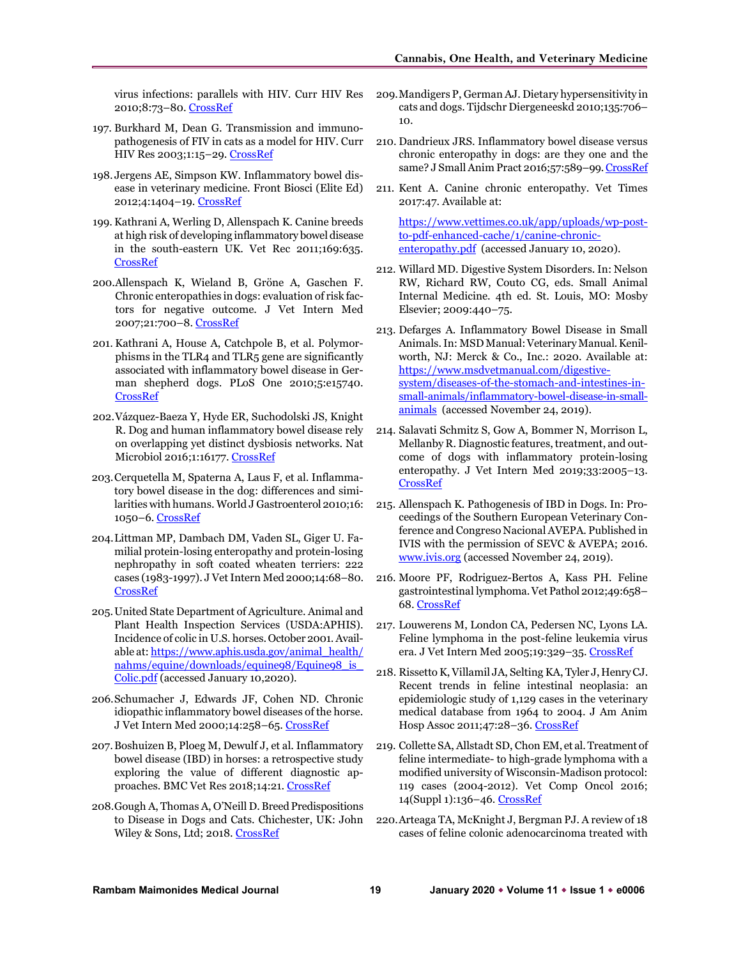virus infections: parallels with HIV. Curr HIV Res 2010;8:73–80. [CrossRef](https://doi.org/10.2174/157016210790416389)

- 197. Burkhard M, Dean G. Transmission and immunopathogenesis of FIV in cats as a model for HIV. Curr HIV Res 2003;1:15–29. [CrossRef](https://doi.org/10.2174/1570162033352101)
- 198. Jergens AE, Simpson KW. Inflammatory bowel disease in veterinary medicine. Front Biosci (Elite Ed) 2012;4:1404–19[. CrossRef](https://doi.org/10.2741/e470)
- 199. Kathrani A, Werling D, Allenspach K. Canine breeds at high risk of developing inflammatory bowel disease in the south-eastern UK. Vet Rec 2011;169:635. [CrossRef](https://doi.org/10.1136/vr.d5380)
- 200.Allenspach K, Wieland B, Gröne A, Gaschen F. Chronic enteropathies in dogs: evaluation of risk factors for negative outcome. J Vet Intern Med 2007;21:700–8[. CrossRef](https://doi.org/10.1111/j.1939-1676.2007.tb03011.x)
- 201. Kathrani A, House A, Catchpole B, et al. Polymorphisms in the TLR4 and TLR5 gene are significantly associated with inflammatory bowel disease in German shepherd dogs. PLoS One 2010;5:e15740. [CrossRef](https://doi.org/10.1371/journal.pone.0015740)
- 202.Vázquez-Baeza Y, Hyde ER, Suchodolski JS, Knight R. Dog and human inflammatory bowel disease rely on overlapping yet distinct dysbiosis networks. Nat Microbiol 2016;1:16177[. CrossRef](https://doi.org/10.1038/nmicrobiol.2016.177)
- 203.Cerquetella M, Spaterna A, Laus F, et al. Inflammatory bowel disease in the dog: differences and similarities with humans. World J Gastroenterol 2010;16: 1050–6[. CrossRef](https://doi.org/10.3748/wjg.v16.i9.1050)
- 204.Littman MP, Dambach DM, Vaden SL, Giger U. Familial protein-losing enteropathy and protein-losing nephropathy in soft coated wheaten terriers: 222 cases (1983-1997). J Vet Intern Med 2000;14:68–80. [CrossRef](https://doi.org/10.1892/0891-6640(2000)014%3c0068:fpleap%3e2.3.co;2)
- 205.United State Department of Agriculture. Animal and Plant Health Inspection Services (USDA:APHIS). Incidence of colic in U.S. horses. October 2001. Available at[: https://www.aphis.usda.gov/animal\\_health/](https://www.aphis.usda.gov/animal_health/nahms/equine/downloads/equine98/Equine98_is_Colic.pdf)  [nahms/equine/downloads/equine98/Equine98\\_is\\_](https://www.aphis.usda.gov/animal_health/nahms/equine/downloads/equine98/Equine98_is_Colic.pdf)  [Colic.pdf](https://www.aphis.usda.gov/animal_health/nahms/equine/downloads/equine98/Equine98_is_Colic.pdf) (accessed January 10,2020).
- 206.Schumacher J, Edwards JF, Cohen ND. Chronic idiopathic inflammatory bowel diseases of the horse. J Vet Intern Med 2000;14:258–65. [CrossRef](https://doi.org/10.1892/0891-6640(2000)014%3c0258:ciibdo%3e2.3.co;2)
- 207.Boshuizen B, Ploeg M, Dewulf J, et al. Inflammatory bowel disease (IBD) in horses: a retrospective study exploring the value of different diagnostic approaches. BMC Vet Res 2018;14:21[. CrossRef](https://doi.org/10.1186/s12917-018-1343-1)
- 208.Gough A, Thomas A, O'Neill D. Breed Predispositions to Disease in Dogs and Cats. Chichester, UK: John Wiley & Sons, Ltd; 2018. [CrossRef](https://doi.org/10.1002/9781119225584)
- 209.Mandigers P, German AJ. Dietary hypersensitivity in cats and dogs. Tijdschr Diergeneeskd 2010;135:706– 10.
- 210. Dandrieux JRS. Inflammatory bowel disease versus chronic enteropathy in dogs: are they one and the same? J Small Anim Pract 2016;57:589–99[. CrossRef](https://doi.org/10.1111/jsap.12588)
- 211. Kent A. Canine chronic enteropathy. Vet Times 2017:47. Available at:

[https://www.vettimes.co.uk/app/uploads/wp-post](https://www.vettimes.co.uk/app/uploads/wp-post-to-pdf-enhanced-cache/1/canine-chronic-enteropathy.pdf)[to-pdf-enhanced-cache/1/canine-chronic](https://www.vettimes.co.uk/app/uploads/wp-post-to-pdf-enhanced-cache/1/canine-chronic-enteropathy.pdf)[enteropathy.pdf](https://www.vettimes.co.uk/app/uploads/wp-post-to-pdf-enhanced-cache/1/canine-chronic-enteropathy.pdf) (accessed January 10, 2020).

- 212. Willard MD. Digestive System Disorders. In: Nelson RW, Richard RW, Couto CG, eds. Small Animal Internal Medicine. 4th ed. St. Louis, MO: Mosby Elsevier; 2009:440–75.
- 213. Defarges A. Inflammatory Bowel Disease in Small Animals. In: MSD Manual: Veterinary Manual. Kenilworth, NJ: Merck & Co., Inc.: 2020. Available at: [https://www.msdvetmanual.com/digestive](https://www.msdvetmanual.com/digestive-system/diseases-of-the-stomach-and-intestines-in-small-animals/inflammatory-bowel-disease-in-small-animals)[system/diseases-of-the-stomach-and-intestines-in](https://www.msdvetmanual.com/digestive-system/diseases-of-the-stomach-and-intestines-in-small-animals/inflammatory-bowel-disease-in-small-animals)[small-animals/inflammatory-bowel-disease-in-small](https://www.msdvetmanual.com/digestive-system/diseases-of-the-stomach-and-intestines-in-small-animals/inflammatory-bowel-disease-in-small-animals)[animals](https://www.msdvetmanual.com/digestive-system/diseases-of-the-stomach-and-intestines-in-small-animals/inflammatory-bowel-disease-in-small-animals) (accessed November 24, 2019).
- 214. Salavati Schmitz S, Gow A, Bommer N, Morrison L, Mellanby R. Diagnostic features, treatment, and outcome of dogs with inflammatory protein-losing enteropathy. J Vet Intern Med 2019;33:2005–13. [CrossRef](https://doi.org/10.1111/jvim.15571)
- 215. Allenspach K. Pathogenesis of IBD in Dogs. In: Proceedings of the Southern European Veterinary Conference and Congreso Nacional AVEPA. Published in IVIS with the permission of SEVC & AVEPA; 2016. [www.ivis.org](http://www.ivis.org/) (accessed November 24, 2019).
- 216. Moore PF, Rodriguez-Bertos A, Kass PH. Feline gastrointestinal lymphoma. Vet Pathol 2012;49:658– 68[. CrossRef](https://doi.org/10.1177/0300985811404712)
- 217. Louwerens M, London CA, Pedersen NC, Lyons LA. Feline lymphoma in the post-feline leukemia virus era. J Vet Intern Med 2005;19:329–35[. CrossRef](https://doi.org/10.1892/0891-6640(2005)19%5b329:flitpl%5d2.0.co;2)
- 218. Rissetto K, Villamil JA, Selting KA, Tyler J, Henry CJ. Recent trends in feline intestinal neoplasia: an epidemiologic study of 1,129 cases in the veterinary medical database from 1964 to 2004. J Am Anim Hosp Assoc 2011;47:28–36[. CrossRef](https://doi.org/10.5326/JAAHA-MS-5554)
- 219. Collette SA, Allstadt SD, Chon EM, et al. Treatment of feline intermediate- to high-grade lymphoma with a modified university of Wisconsin-Madison protocol: 119 cases (2004-2012). Vet Comp Oncol 2016; 14(Suppl 1):136–46. [CrossRef](https://doi.org/10.1111/vco.12158)
- 220.Arteaga TA, McKnight J, Bergman PJ. A review of 18 cases of feline colonic adenocarcinoma treated with